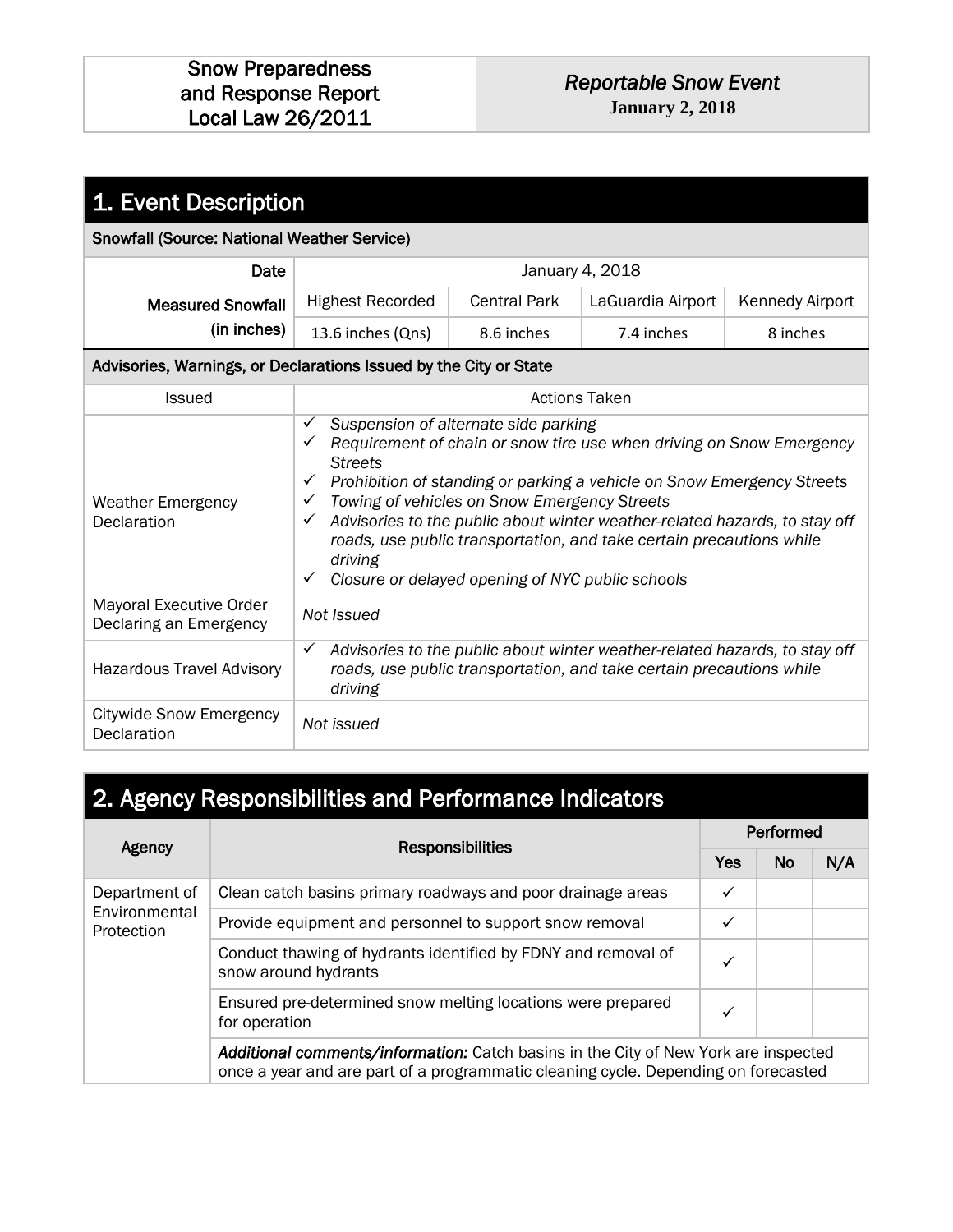| 1. Event Description                                              |                                                                                                                                                                                                                                                                                                                                                                                                                                                                                                                                                                               |                     |                      |                        |
|-------------------------------------------------------------------|-------------------------------------------------------------------------------------------------------------------------------------------------------------------------------------------------------------------------------------------------------------------------------------------------------------------------------------------------------------------------------------------------------------------------------------------------------------------------------------------------------------------------------------------------------------------------------|---------------------|----------------------|------------------------|
| <b>Snowfall (Source: National Weather Service)</b>                |                                                                                                                                                                                                                                                                                                                                                                                                                                                                                                                                                                               |                     |                      |                        |
| Date                                                              |                                                                                                                                                                                                                                                                                                                                                                                                                                                                                                                                                                               |                     | January 4, 2018      |                        |
| <b>Measured Snowfall</b>                                          | <b>Highest Recorded</b>                                                                                                                                                                                                                                                                                                                                                                                                                                                                                                                                                       | <b>Central Park</b> | LaGuardia Airport    | <b>Kennedy Airport</b> |
| (in inches)                                                       | 13.6 inches (Qns)                                                                                                                                                                                                                                                                                                                                                                                                                                                                                                                                                             | 8.6 inches          | 7.4 inches           | 8 inches               |
| Advisories, Warnings, or Declarations Issued by the City or State |                                                                                                                                                                                                                                                                                                                                                                                                                                                                                                                                                                               |                     |                      |                        |
| Issued                                                            |                                                                                                                                                                                                                                                                                                                                                                                                                                                                                                                                                                               |                     | <b>Actions Taken</b> |                        |
| <b>Weather Emergency</b><br>Declaration                           | Suspension of alternate side parking<br>$\checkmark$<br>Requirement of chain or snow tire use when driving on Snow Emergency<br>$\checkmark$<br><b>Streets</b><br>Prohibition of standing or parking a vehicle on Snow Emergency Streets<br>$\checkmark$<br>Towing of vehicles on Snow Emergency Streets<br>$\checkmark$<br>Advisories to the public about winter weather-related hazards, to stay off<br>$\checkmark$<br>roads, use public transportation, and take certain precautions while<br>driving<br>Closure or delayed opening of NYC public schools<br>$\checkmark$ |                     |                      |                        |
| Mayoral Executive Order<br>Declaring an Emergency                 | Not Issued                                                                                                                                                                                                                                                                                                                                                                                                                                                                                                                                                                    |                     |                      |                        |
| <b>Hazardous Travel Advisory</b>                                  | Advisories to the public about winter weather-related hazards, to stay off<br>$\checkmark$<br>roads, use public transportation, and take certain precautions while<br>driving                                                                                                                                                                                                                                                                                                                                                                                                 |                     |                      |                        |
| <b>Citywide Snow Emergency</b><br>Declaration                     | Not issued                                                                                                                                                                                                                                                                                                                                                                                                                                                                                                                                                                    |                     |                      |                        |

## 2. Agency Responsibilities and Performance Indicators

| <b>Responsibilities</b><br>Agency            |                                                                                                                                                                           |            | Performed |     |  |  |  |
|----------------------------------------------|---------------------------------------------------------------------------------------------------------------------------------------------------------------------------|------------|-----------|-----|--|--|--|
|                                              |                                                                                                                                                                           | <b>Yes</b> | No        | N/A |  |  |  |
| Department of<br>Environmental<br>Protection | Clean catch basins primary roadways and poor drainage areas                                                                                                               | ✓          |           |     |  |  |  |
|                                              | Provide equipment and personnel to support snow removal                                                                                                                   | ✓          |           |     |  |  |  |
|                                              | Conduct thawing of hydrants identified by FDNY and removal of<br>snow around hydrants                                                                                     |            |           |     |  |  |  |
|                                              | Ensured pre-determined snow melting locations were prepared<br>for operation                                                                                              |            |           |     |  |  |  |
|                                              | Additional comments/information: Catch basins in the City of New York are inspected<br>once a year and are part of a programmatic cleaning cycle. Depending on forecasted |            |           |     |  |  |  |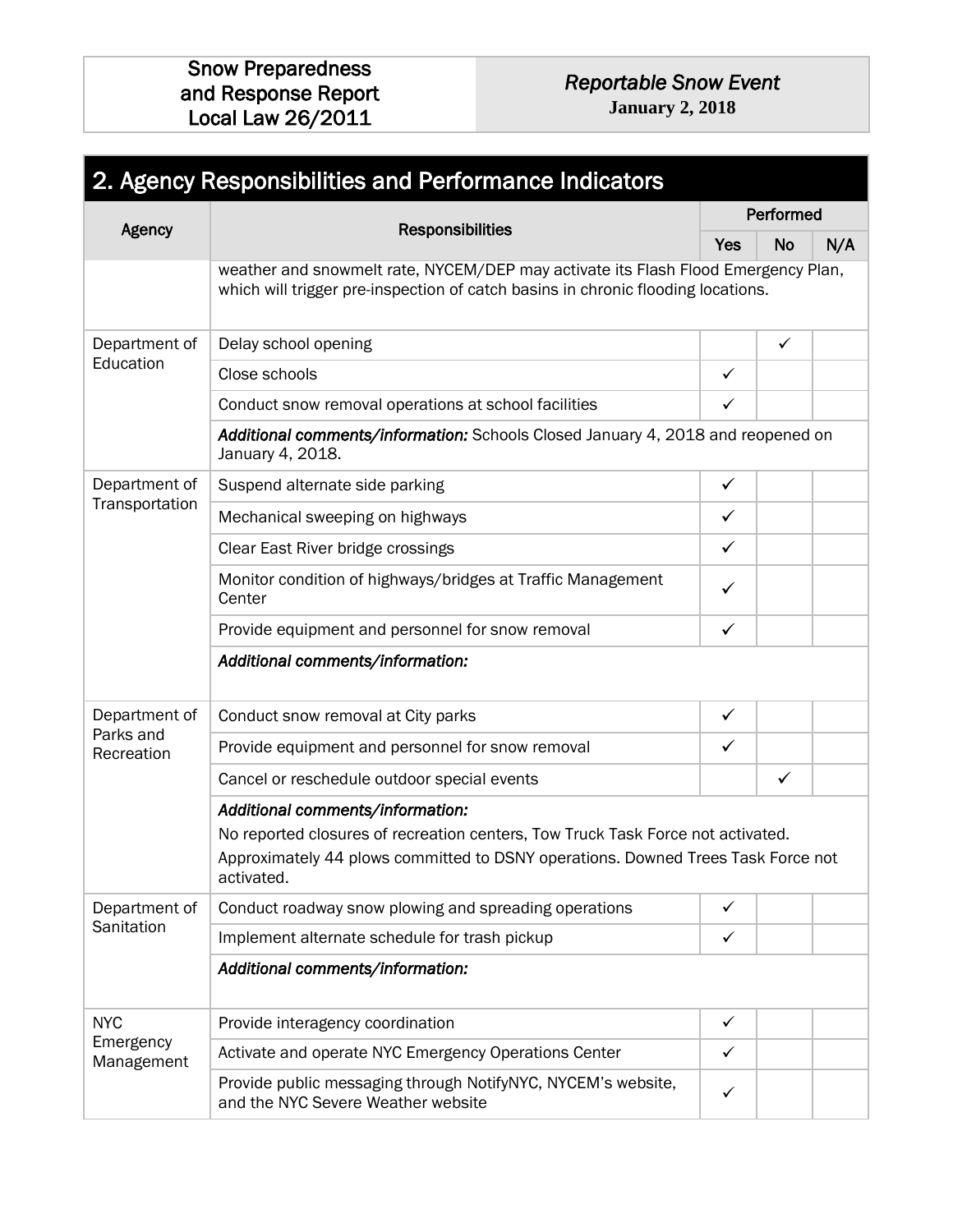2. Agency Responsibilities and Performance Indicators Agency **Responsibilities** Performed Yes  $\vert$  No  $\vert$  N/A weather and snowmelt rate, NYCEM/DEP may activate its Flash Flood Emergency Plan, which will trigger pre-inspection of catch basins in chronic flooding locations. Department of **Education** Delay school opening and some and some and some and some and some and some and some and some and some and some  $\Box$ Close schools  $\Box$ Conduct snow removal operations at school facilities  $\vert \times$ *Additional comments/information:* Schools Closed January 4, 2018 and reopened on January 4, 2018. Department of Transportation Suspend alternate side parking and annual state of the state of the state of the state of the state of the state of the state of the state of the state of the state of the state of the state of the state of the state of t Mechanical sweeping on highways  $\begin{array}{c} \downarrow \sim \end{array}$ Clear East River bridge crossings Monitor condition of highways/bridges at Traffic Management Center Provide equipment and personnel for snow removal  $\checkmark$ *Additional comments/information:*  Department of Parks and **Recreation** Conduct snow removal at City parks in the state of the state of the state of the state of the state of the state of the state of the state of the state of the state of the state of the state of the state of the state of t Provide equipment and personnel for snow removal  $\checkmark$ Cancel or reschedule outdoor special events *Additional comments/information:*  No reported closures of recreation centers, Tow Truck Task Force not activated. Approximately 44 plows committed to DSNY operations. Downed Trees Task Force not activated. Department of **Sanitation** Conduct roadway snow plowing and spreading operations  $\vert \times$ Implement alternate schedule for trash pickup  $\sqrt{ }$ *Additional comments/information:*  NYC Emergency Management Provide interagency coordination and the state of the state of the state of the state of the state of the state of the state of the state of the state of the state of the state of the state of the state of the state of the Activate and operate NYC Emergency Operations Center Provide public messaging through NotifyNYC, NYCEM's website, and the NYC Severe Weather website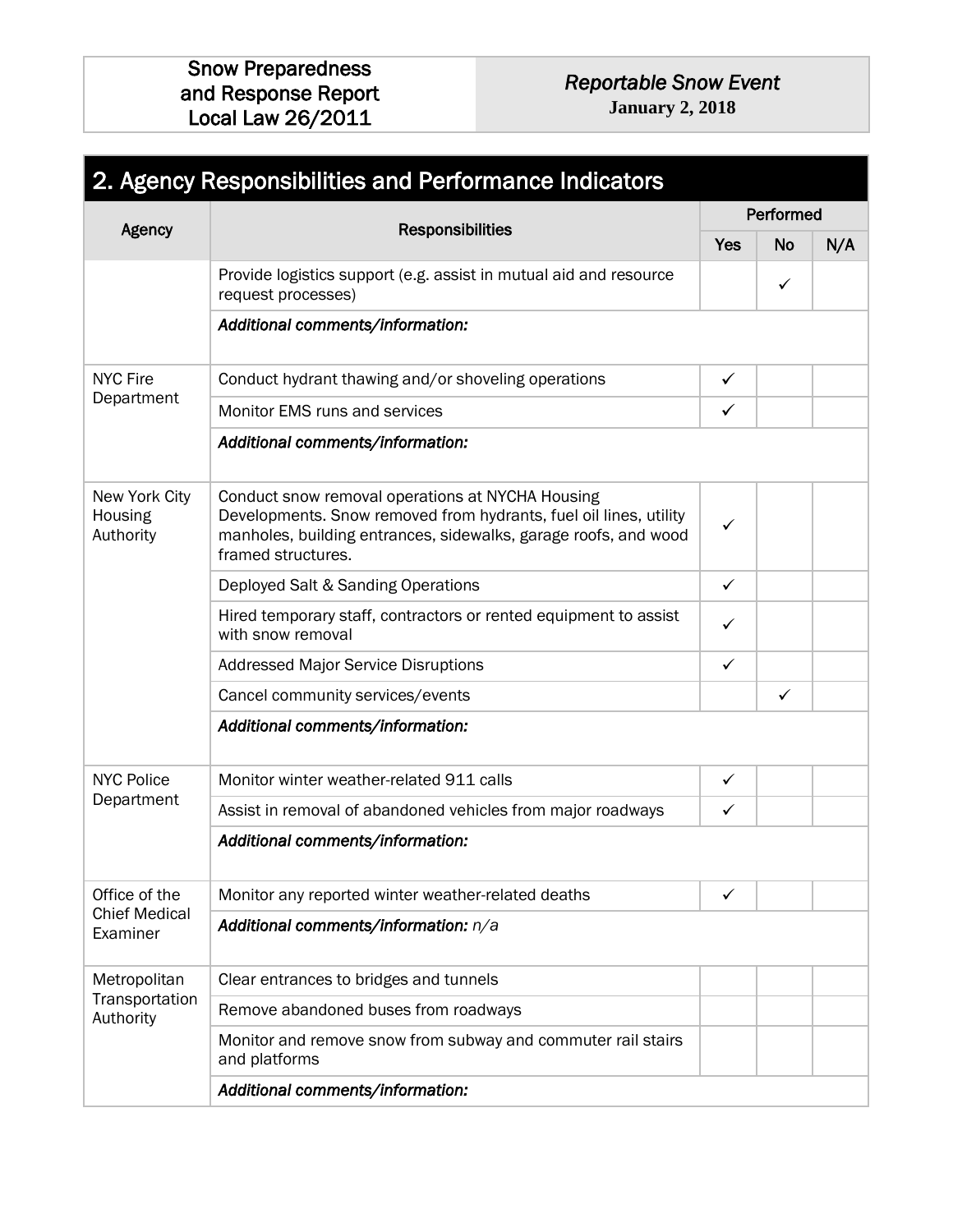# *Reportable Snow Event*

**January 2, 2018**

|                                       | 2. Agency Responsibilities and Performance Indicators                                                                                                                                                          |              |              |     |
|---------------------------------------|----------------------------------------------------------------------------------------------------------------------------------------------------------------------------------------------------------------|--------------|--------------|-----|
|                                       |                                                                                                                                                                                                                |              | Performed    |     |
| Agency                                | <b>Responsibilities</b>                                                                                                                                                                                        |              | <b>No</b>    | N/A |
|                                       | Provide logistics support (e.g. assist in mutual aid and resource<br>request processes)                                                                                                                        |              | ✓            |     |
|                                       | Additional comments/information:                                                                                                                                                                               |              |              |     |
| <b>NYC Fire</b>                       | Conduct hydrant thawing and/or shoveling operations                                                                                                                                                            | ✓            |              |     |
| Department                            | Monitor EMS runs and services                                                                                                                                                                                  | $\checkmark$ |              |     |
|                                       | Additional comments/information:                                                                                                                                                                               |              |              |     |
| New York City<br>Housing<br>Authority | Conduct snow removal operations at NYCHA Housing<br>Developments. Snow removed from hydrants, fuel oil lines, utility<br>manholes, building entrances, sidewalks, garage roofs, and wood<br>framed structures. | ✓            |              |     |
|                                       | Deployed Salt & Sanding Operations                                                                                                                                                                             | ✓            |              |     |
|                                       | Hired temporary staff, contractors or rented equipment to assist<br>with snow removal                                                                                                                          | ✓            |              |     |
|                                       | <b>Addressed Major Service Disruptions</b>                                                                                                                                                                     | $\checkmark$ |              |     |
|                                       | Cancel community services/events                                                                                                                                                                               |              | $\checkmark$ |     |
|                                       | Additional comments/information:                                                                                                                                                                               |              |              |     |
| <b>NYC Police</b>                     | Monitor winter weather-related 911 calls                                                                                                                                                                       | $\checkmark$ |              |     |
| Department                            | Assist in removal of abandoned vehicles from major roadways                                                                                                                                                    | ✓            |              |     |
|                                       | Additional comments/information:                                                                                                                                                                               |              |              |     |
| Office of the                         | Monitor any reported winter weather-related deaths                                                                                                                                                             | ✓            |              |     |
| <b>Chief Medical</b><br>Examiner      | Additional comments/information: n/a                                                                                                                                                                           |              |              |     |
| Metropolitan                          | Clear entrances to bridges and tunnels                                                                                                                                                                         |              |              |     |
| Transportation<br>Authority           | Remove abandoned buses from roadways                                                                                                                                                                           |              |              |     |
|                                       | Monitor and remove snow from subway and commuter rail stairs<br>and platforms                                                                                                                                  |              |              |     |
|                                       | Additional comments/information:                                                                                                                                                                               |              |              |     |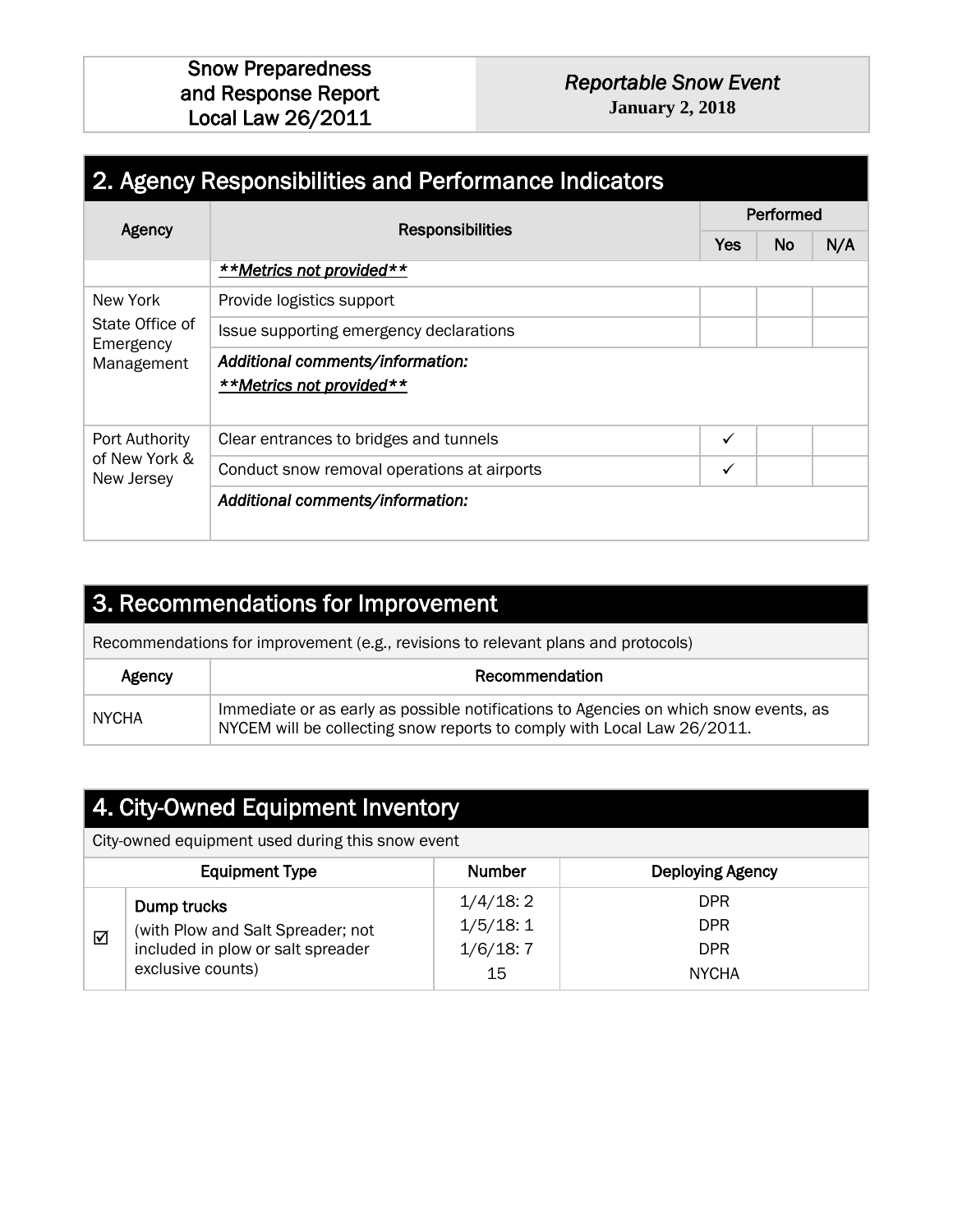#### *Reportable Snow Event*  **January 2, 2018**

| 2. Agency Responsibilities and Performance Indicators |                                                              |   |           |     |  |  |  |
|-------------------------------------------------------|--------------------------------------------------------------|---|-----------|-----|--|--|--|
| Agency                                                | <b>Responsibilities</b>                                      |   | Performed |     |  |  |  |
|                                                       |                                                              |   | <b>No</b> | N/A |  |  |  |
|                                                       | **Metrics not provided**                                     |   |           |     |  |  |  |
| New York                                              | Provide logistics support                                    |   |           |     |  |  |  |
| State Office of<br>Emergency                          | Issue supporting emergency declarations                      |   |           |     |  |  |  |
| Management                                            | Additional comments/information:<br>**Metrics not provided** |   |           |     |  |  |  |
| Port Authority                                        | Clear entrances to bridges and tunnels                       | ✓ |           |     |  |  |  |
| of New York &<br>New Jersey                           | Conduct snow removal operations at airports                  | ✓ |           |     |  |  |  |
|                                                       | Additional comments/information:                             |   |           |     |  |  |  |

### 3. Recommendations for Improvement

Recommendations for improvement (e.g., revisions to relevant plans and protocols)

| Agency       | Recommendation                                                                                                                                                  |
|--------------|-----------------------------------------------------------------------------------------------------------------------------------------------------------------|
| <b>NYCHA</b> | Immediate or as early as possible notifications to Agencies on which snow events, as<br>NYCEM will be collecting snow reports to comply with Local Law 26/2011. |

### 4. City-Owned Equipment Inventory

City-owned equipment used during this snow event

|   | <b>Equipment Type</b>                                                                 | <b>Number</b>                    | <b>Deploying Agency</b>                |
|---|---------------------------------------------------------------------------------------|----------------------------------|----------------------------------------|
| ⊽ | Dump trucks<br>(with Plow and Salt Spreader; not<br>included in plow or salt spreader | 1/4/18:2<br>1/5/18:1<br>1/6/18:7 | <b>DPR</b><br><b>DPR</b><br><b>DPR</b> |
|   | exclusive counts)                                                                     | 15                               | <b>NYCHA</b>                           |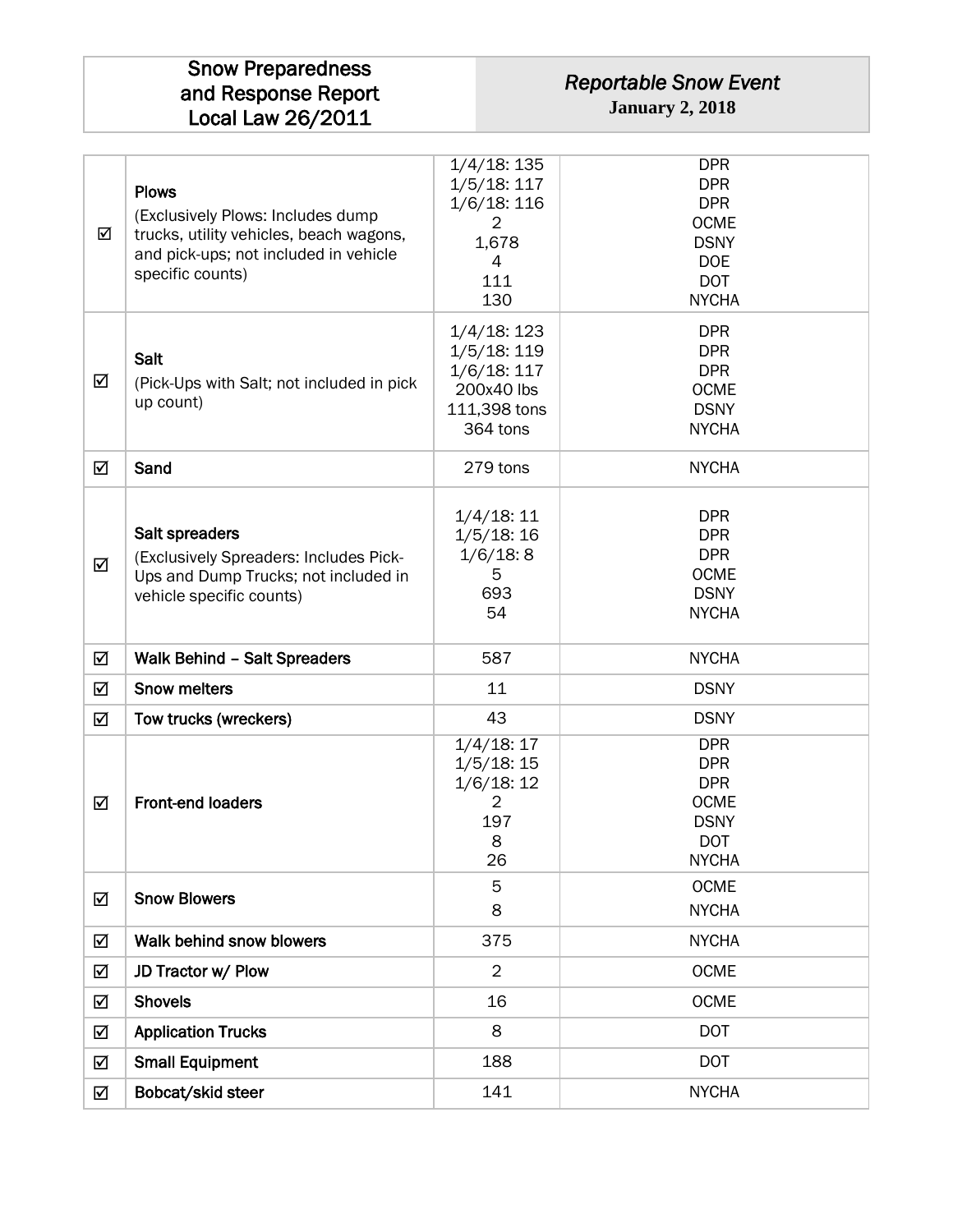#### *Reportable Snow Event*  **January 2, 2018**

| ☑ | <b>Plows</b><br>(Exclusively Plows: Includes dump<br>trucks, utility vehicles, beach wagons,<br>and pick-ups; not included in vehicle<br>specific counts) | $1/4/18$ : 135<br>1/5/18:117<br>$1/6/18$ : 116<br>$\overline{2}$<br>1,678<br>4<br>111<br>130 | <b>DPR</b><br><b>DPR</b><br><b>DPR</b><br><b>OCME</b><br><b>DSNY</b><br><b>DOE</b><br><b>DOT</b><br><b>NYCHA</b> |
|---|-----------------------------------------------------------------------------------------------------------------------------------------------------------|----------------------------------------------------------------------------------------------|------------------------------------------------------------------------------------------------------------------|
| ☑ | Salt<br>(Pick-Ups with Salt; not included in pick<br>up count)                                                                                            | $1/4/18$ : 123<br>1/5/18:119<br>1/6/18:117<br>200x40 lbs<br>111,398 tons<br>364 tons         | <b>DPR</b><br><b>DPR</b><br><b>DPR</b><br><b>OCME</b><br><b>DSNY</b><br><b>NYCHA</b>                             |
| ☑ | Sand                                                                                                                                                      | 279 tons                                                                                     | <b>NYCHA</b>                                                                                                     |
| ☑ | Salt spreaders<br>(Exclusively Spreaders: Includes Pick-<br>Ups and Dump Trucks; not included in<br>vehicle specific counts)                              | 1/4/18:11<br>1/5/18:16<br>1/6/18:8<br>5<br>693<br>54                                         | <b>DPR</b><br><b>DPR</b><br><b>DPR</b><br><b>OCME</b><br><b>DSNY</b><br><b>NYCHA</b>                             |
| ☑ | <b>Walk Behind - Salt Spreaders</b>                                                                                                                       | 587                                                                                          | <b>NYCHA</b>                                                                                                     |
| ☑ | <b>Snow melters</b>                                                                                                                                       | 11                                                                                           | <b>DSNY</b>                                                                                                      |
| ☑ | Tow trucks (wreckers)                                                                                                                                     | 43                                                                                           | <b>DSNY</b>                                                                                                      |
| ☑ | <b>Front-end loaders</b>                                                                                                                                  | 1/4/18:17<br>1/5/18:15<br>1/6/18:12<br>$\overline{2}$<br>197<br>8<br>26                      | <b>DPR</b><br><b>DPR</b><br><b>DPR</b><br><b>OCME</b><br><b>DSNY</b><br><b>DOT</b><br><b>NYCHA</b>               |
| ☑ | <b>Snow Blowers</b>                                                                                                                                       | 5<br>8                                                                                       | <b>OCME</b><br><b>NYCHA</b>                                                                                      |
| ☑ | Walk behind snow blowers                                                                                                                                  | 375                                                                                          | <b>NYCHA</b>                                                                                                     |
| ☑ | JD Tractor w/ Plow                                                                                                                                        | $\overline{2}$                                                                               | <b>OCME</b>                                                                                                      |
| ☑ | <b>Shovels</b>                                                                                                                                            | 16                                                                                           | <b>OCME</b>                                                                                                      |
| ☑ | <b>Application Trucks</b>                                                                                                                                 | 8                                                                                            | <b>DOT</b>                                                                                                       |
| ☑ | <b>Small Equipment</b>                                                                                                                                    | 188                                                                                          | <b>DOT</b>                                                                                                       |
| ☑ | Bobcat/skid steer                                                                                                                                         | 141                                                                                          | <b>NYCHA</b>                                                                                                     |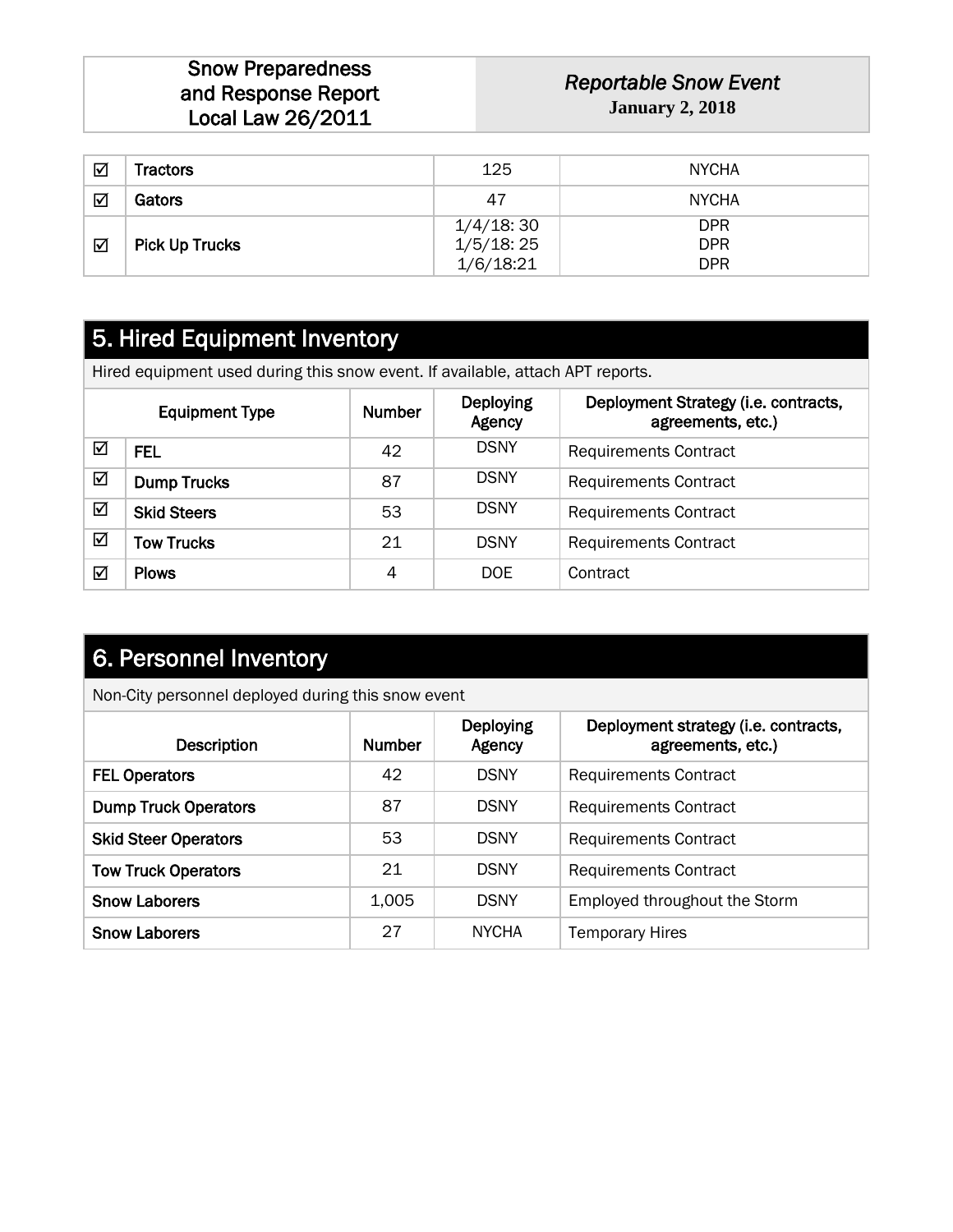*Reportable Snow Event*  **January 2, 2018**

| ☑                    | Tractors              | 125       | <b>NYCHA</b> |
|----------------------|-----------------------|-----------|--------------|
| $\blacktriangledown$ | Gators                | 47        | <b>NYCHA</b> |
|                      |                       | 1/4/18:30 | <b>DPR</b>   |
| ☑                    | <b>Pick Up Trucks</b> | 1/5/18:25 | <b>DPR</b>   |
|                      |                       | 1/6/18:21 | <b>DPR</b>   |

### 5. Hired Equipment Inventory

Hired equipment used during this snow event. If available, attach APT reports.

|   | <b>Equipment Type</b> | Number | <b>Deploying</b><br>Agency | Deployment Strategy (i.e. contracts,<br>agreements, etc.) |
|---|-----------------------|--------|----------------------------|-----------------------------------------------------------|
| ☑ | FEL                   | 42     | <b>DSNY</b>                | <b>Requirements Contract</b>                              |
| ☑ | <b>Dump Trucks</b>    | 87     | <b>DSNY</b>                | <b>Requirements Contract</b>                              |
| ☑ | <b>Skid Steers</b>    | 53     | <b>DSNY</b>                | <b>Requirements Contract</b>                              |
| ☑ | <b>Tow Trucks</b>     | 21     | <b>DSNY</b>                | <b>Requirements Contract</b>                              |
| ✓ | <b>Plows</b>          | 4      | DOE.                       | Contract                                                  |

### 6. Personnel Inventory

Non-City personnel deployed during this snow event

| <b>Description</b>          | <b>Number</b> | <b>Deploying</b><br>Agency | Deployment strategy (i.e. contracts,<br>agreements, etc.) |
|-----------------------------|---------------|----------------------------|-----------------------------------------------------------|
| <b>FEL Operators</b>        | 42            | <b>DSNY</b>                | <b>Requirements Contract</b>                              |
| <b>Dump Truck Operators</b> | 87            | <b>DSNY</b>                | <b>Requirements Contract</b>                              |
| <b>Skid Steer Operators</b> | 53            | <b>DSNY</b>                | <b>Requirements Contract</b>                              |
| <b>Tow Truck Operators</b>  | 21            | <b>DSNY</b>                | <b>Requirements Contract</b>                              |
| <b>Snow Laborers</b>        | 1,005         | <b>DSNY</b>                | Employed throughout the Storm                             |
| <b>Snow Laborers</b>        | 27            | <b>NYCHA</b>               | <b>Temporary Hires</b>                                    |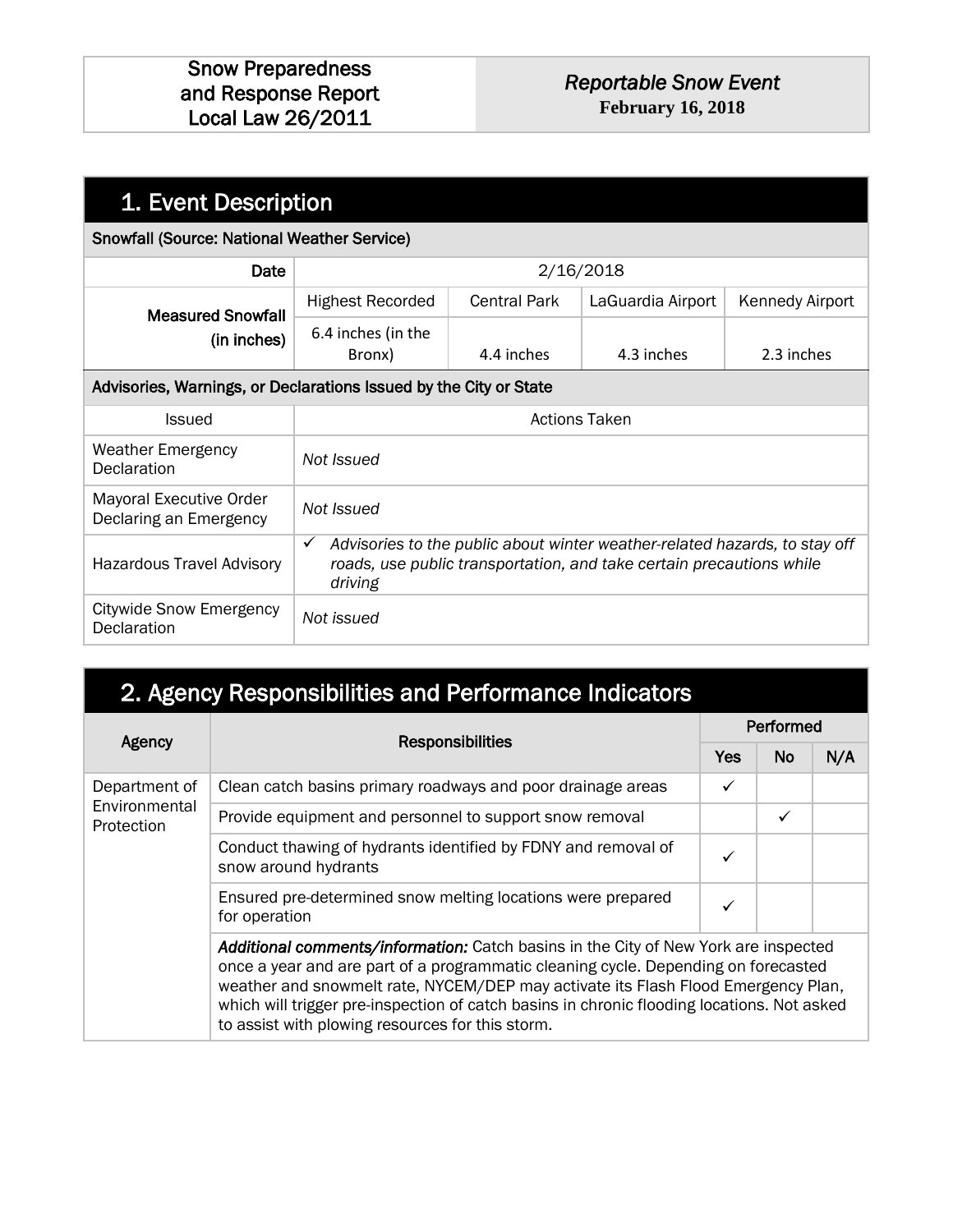| 1. Event Description                                              |                                                                                                                                                                               |                      |                   |                 |
|-------------------------------------------------------------------|-------------------------------------------------------------------------------------------------------------------------------------------------------------------------------|----------------------|-------------------|-----------------|
| <b>Snowfall (Source: National Weather Service)</b>                |                                                                                                                                                                               |                      |                   |                 |
| Date                                                              |                                                                                                                                                                               |                      | 2/16/2018         |                 |
| <b>Measured Snowfall</b>                                          | <b>Highest Recorded</b>                                                                                                                                                       | <b>Central Park</b>  | LaGuardia Airport | Kennedy Airport |
| (in inches)                                                       | 6.4 inches (in the<br>Bronx)                                                                                                                                                  | 4.4 inches           | 4.3 inches        | 2.3 inches      |
| Advisories, Warnings, or Declarations Issued by the City or State |                                                                                                                                                                               |                      |                   |                 |
| <b>Issued</b>                                                     |                                                                                                                                                                               | <b>Actions Taken</b> |                   |                 |
| <b>Weather Emergency</b><br><b>Declaration</b>                    | Not Issued                                                                                                                                                                    |                      |                   |                 |
| <b>Mayoral Executive Order</b><br>Declaring an Emergency          | Not Issued                                                                                                                                                                    |                      |                   |                 |
| <b>Hazardous Travel Advisory</b>                                  | Advisories to the public about winter weather-related hazards, to stay off<br>$\checkmark$<br>roads, use public transportation, and take certain precautions while<br>driving |                      |                   |                 |
| <b>Citywide Snow Emergency</b><br>Declaration                     | Not issued                                                                                                                                                                    |                      |                   |                 |

| 2. Agency Responsibilities and Performance Indicators |                                                                                                                                                                                                                                                                                                                                                                                                                  |            |           |     |  |  |  |
|-------------------------------------------------------|------------------------------------------------------------------------------------------------------------------------------------------------------------------------------------------------------------------------------------------------------------------------------------------------------------------------------------------------------------------------------------------------------------------|------------|-----------|-----|--|--|--|
|                                                       |                                                                                                                                                                                                                                                                                                                                                                                                                  |            | Performed |     |  |  |  |
| Agency                                                | <b>Responsibilities</b>                                                                                                                                                                                                                                                                                                                                                                                          | <b>Yes</b> | No        | N/A |  |  |  |
| Department of<br>Environmental<br>Protection          | Clean catch basins primary roadways and poor drainage areas                                                                                                                                                                                                                                                                                                                                                      | ✓          |           |     |  |  |  |
|                                                       | Provide equipment and personnel to support snow removal                                                                                                                                                                                                                                                                                                                                                          |            | ✓         |     |  |  |  |
|                                                       | Conduct thawing of hydrants identified by FDNY and removal of<br>snow around hydrants                                                                                                                                                                                                                                                                                                                            | ✓          |           |     |  |  |  |
|                                                       | Ensured pre-determined snow melting locations were prepared<br>for operation                                                                                                                                                                                                                                                                                                                                     | ✓          |           |     |  |  |  |
|                                                       | Additional comments/information: Catch basins in the City of New York are inspected<br>once a year and are part of a programmatic cleaning cycle. Depending on forecasted<br>weather and snowmelt rate, NYCEM/DEP may activate its Flash Flood Emergency Plan,<br>which will trigger pre-inspection of catch basins in chronic flooding locations. Not asked<br>to assist with plowing resources for this storm. |            |           |     |  |  |  |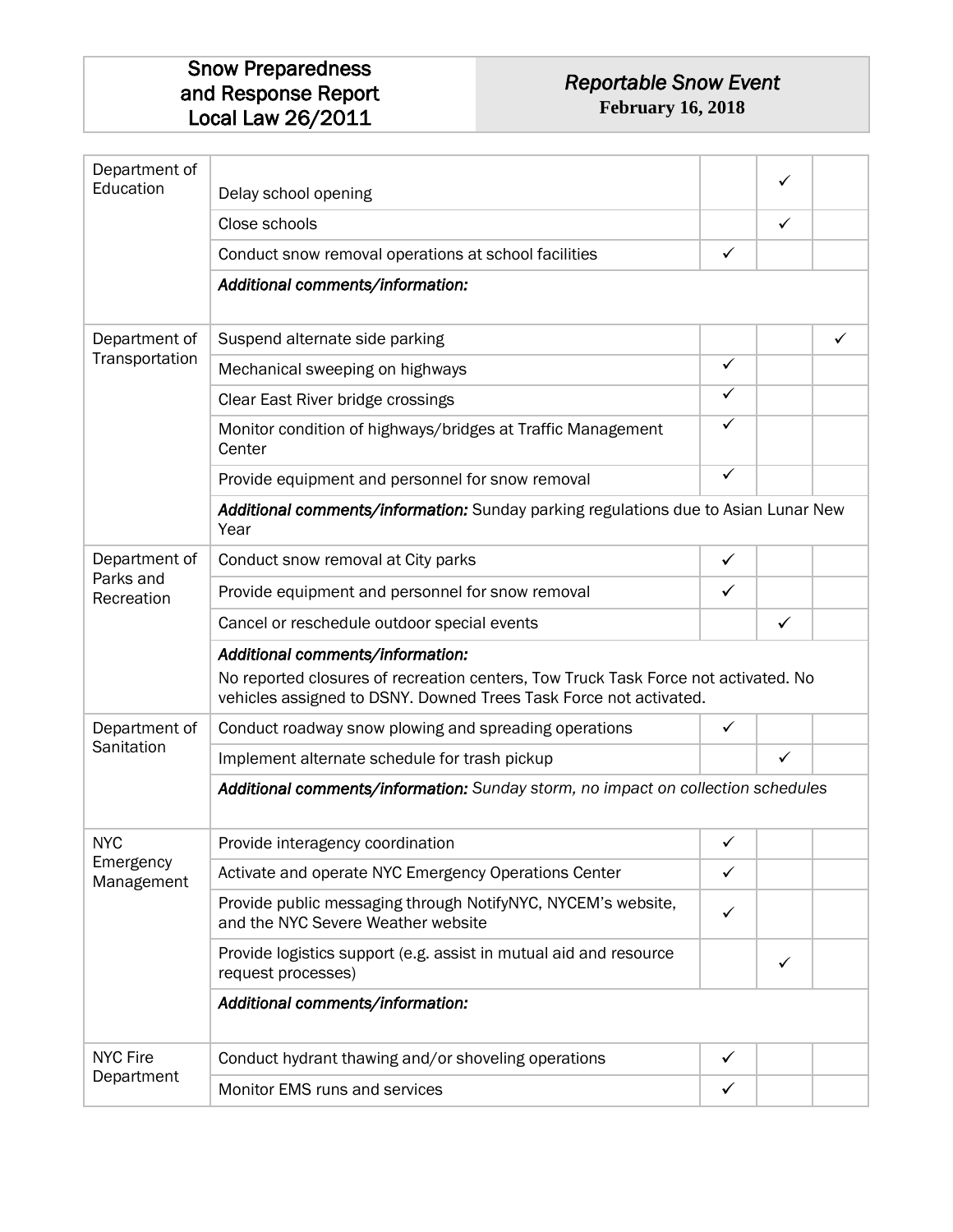#### *Reportable Snow Event*  **February 16, 2018**

| Department of<br>Education | Delay school opening                                                                                                                                                                        |              | ✓            |   |
|----------------------------|---------------------------------------------------------------------------------------------------------------------------------------------------------------------------------------------|--------------|--------------|---|
|                            | Close schools                                                                                                                                                                               |              | ✓            |   |
|                            | Conduct snow removal operations at school facilities                                                                                                                                        | $\checkmark$ |              |   |
|                            | Additional comments/information:                                                                                                                                                            |              |              |   |
| Department of              | Suspend alternate side parking                                                                                                                                                              |              |              | ✓ |
| Transportation             | Mechanical sweeping on highways                                                                                                                                                             | $\checkmark$ |              |   |
|                            | Clear East River bridge crossings                                                                                                                                                           | $\checkmark$ |              |   |
|                            | Monitor condition of highways/bridges at Traffic Management<br>Center                                                                                                                       | ✓            |              |   |
|                            | Provide equipment and personnel for snow removal                                                                                                                                            | $\checkmark$ |              |   |
|                            | Additional comments/information: Sunday parking regulations due to Asian Lunar New<br>Year                                                                                                  |              |              |   |
| Department of              | Conduct snow removal at City parks                                                                                                                                                          | ✓            |              |   |
| Parks and<br>Recreation    | Provide equipment and personnel for snow removal                                                                                                                                            | $\checkmark$ |              |   |
|                            | Cancel or reschedule outdoor special events                                                                                                                                                 |              | $\checkmark$ |   |
|                            | Additional comments/information:<br>No reported closures of recreation centers, Tow Truck Task Force not activated. No<br>vehicles assigned to DSNY. Downed Trees Task Force not activated. |              |              |   |
| Department of              | Conduct roadway snow plowing and spreading operations                                                                                                                                       | $\checkmark$ |              |   |
| Sanitation                 | Implement alternate schedule for trash pickup                                                                                                                                               |              | $\checkmark$ |   |
|                            | Additional comments/information: Sunday storm, no impact on collection schedules                                                                                                            |              |              |   |
| <b>NYC</b>                 | Provide interagency coordination                                                                                                                                                            | ✓            |              |   |
| Emergency<br>Management    | Activate and operate NYC Emergency Operations Center                                                                                                                                        | $\checkmark$ |              |   |
|                            | Provide public messaging through NotifyNYC, NYCEM's website,<br>and the NYC Severe Weather website                                                                                          | ✓            |              |   |
|                            | Provide logistics support (e.g. assist in mutual aid and resource<br>request processes)                                                                                                     |              | ✓            |   |
|                            | Additional comments/information:                                                                                                                                                            |              |              |   |
| <b>NYC Fire</b>            | Conduct hydrant thawing and/or shoveling operations                                                                                                                                         | $\checkmark$ |              |   |
| Department                 | Monitor EMS runs and services                                                                                                                                                               | ✓            |              |   |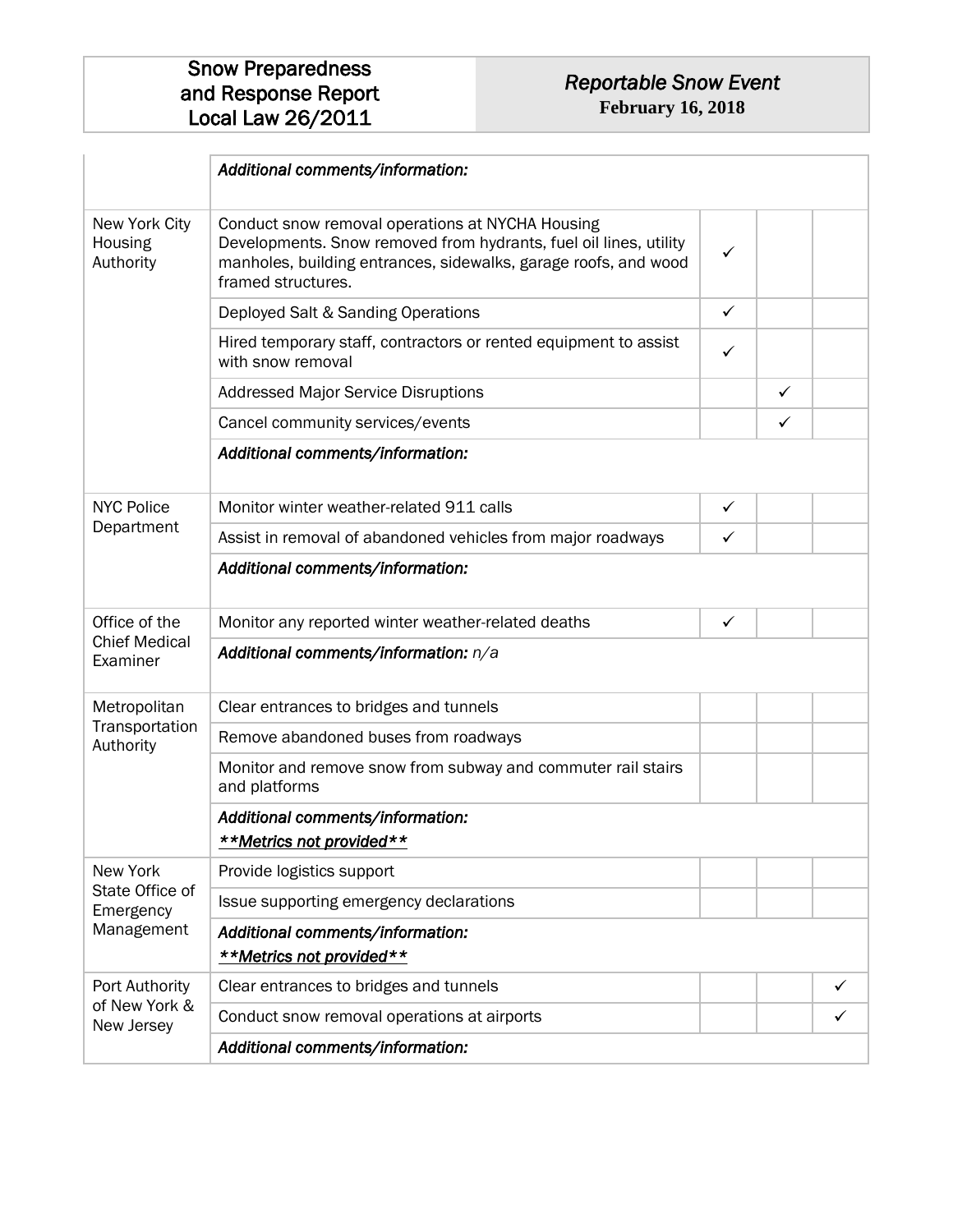|                                       | Additional comments/information:                                                                                                                                                                               |              |              |   |
|---------------------------------------|----------------------------------------------------------------------------------------------------------------------------------------------------------------------------------------------------------------|--------------|--------------|---|
| New York City<br>Housing<br>Authority | Conduct snow removal operations at NYCHA Housing<br>Developments. Snow removed from hydrants, fuel oil lines, utility<br>manholes, building entrances, sidewalks, garage roofs, and wood<br>framed structures. | ✓            |              |   |
|                                       | Deployed Salt & Sanding Operations                                                                                                                                                                             | ✓            |              |   |
|                                       | Hired temporary staff, contractors or rented equipment to assist<br>with snow removal                                                                                                                          | ✓            |              |   |
|                                       | <b>Addressed Major Service Disruptions</b>                                                                                                                                                                     |              | $\checkmark$ |   |
|                                       | Cancel community services/events                                                                                                                                                                               |              | $\checkmark$ |   |
|                                       | Additional comments/information:                                                                                                                                                                               |              |              |   |
| <b>NYC Police</b>                     | Monitor winter weather-related 911 calls                                                                                                                                                                       | $\checkmark$ |              |   |
| Department                            | Assist in removal of abandoned vehicles from major roadways                                                                                                                                                    | ✓            |              |   |
|                                       | Additional comments/information:                                                                                                                                                                               |              |              |   |
| Office of the                         | Monitor any reported winter weather-related deaths                                                                                                                                                             | ✓            |              |   |
| <b>Chief Medical</b><br>Examiner      | Additional comments/information: n/a                                                                                                                                                                           |              |              |   |
| Metropolitan                          | Clear entrances to bridges and tunnels                                                                                                                                                                         |              |              |   |
| Transportation<br>Authority           | Remove abandoned buses from roadways                                                                                                                                                                           |              |              |   |
|                                       | Monitor and remove snow from subway and commuter rail stairs<br>and platforms                                                                                                                                  |              |              |   |
|                                       | Additional comments/information:<br>**Metrics not provided**                                                                                                                                                   |              |              |   |
| New York                              | Provide logistics support                                                                                                                                                                                      |              |              |   |
| State Office of<br>Emergency          | Issue supporting emergency declarations                                                                                                                                                                        |              |              |   |
| Management                            | Additional comments/information:<br>**Metrics not provided**                                                                                                                                                   |              |              |   |
| Port Authority                        | Clear entrances to bridges and tunnels                                                                                                                                                                         |              |              | ✓ |
| of New York &<br>New Jersey           | Conduct snow removal operations at airports                                                                                                                                                                    |              |              | ✓ |
|                                       | Additional comments/information:                                                                                                                                                                               |              |              |   |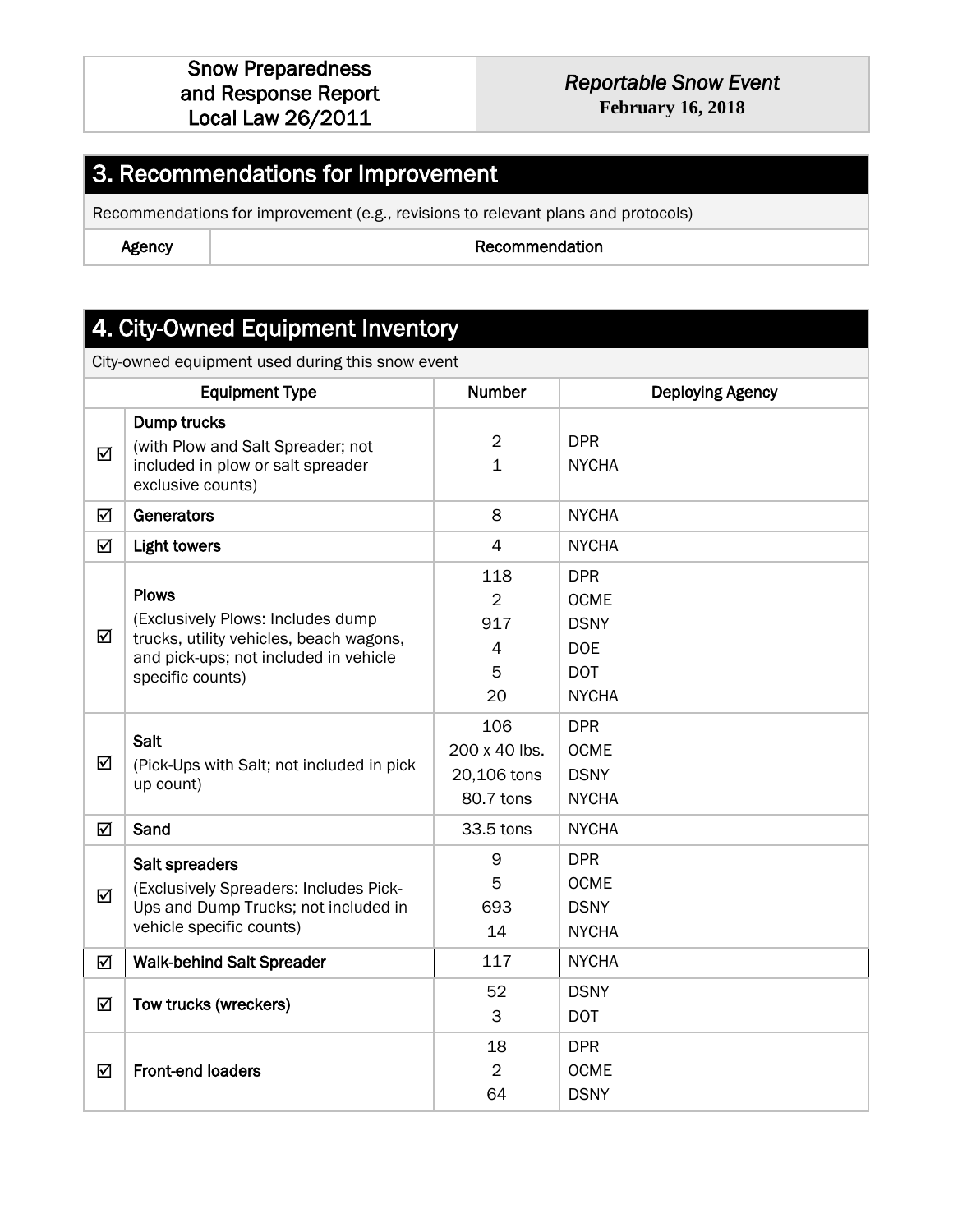# *Reportable Snow Event*

**February 16, 2018**

### 3. Recommendations for Improvement

Recommendations for improvement (e.g., revisions to relevant plans and protocols)

Agency and the commendation and the Recommendation

### 4. City-Owned Equipment Inventory

City-owned equipment used during this snow event

|   | <b>Equipment Type</b>                                                                                                                                     | <b>Number</b>                                             | <b>Deploying Agency</b>                                                              |
|---|-----------------------------------------------------------------------------------------------------------------------------------------------------------|-----------------------------------------------------------|--------------------------------------------------------------------------------------|
| ☑ | Dump trucks<br>(with Plow and Salt Spreader; not<br>included in plow or salt spreader<br>exclusive counts)                                                | $\overline{2}$<br>$\mathbf 1$                             | <b>DPR</b><br><b>NYCHA</b>                                                           |
| ☑ | Generators                                                                                                                                                | 8                                                         | <b>NYCHA</b>                                                                         |
| ☑ | <b>Light towers</b>                                                                                                                                       | $\overline{4}$                                            | <b>NYCHA</b>                                                                         |
| ☑ | <b>Plows</b><br>(Exclusively Plows: Includes dump<br>trucks, utility vehicles, beach wagons,<br>and pick-ups; not included in vehicle<br>specific counts) | 118<br>$\overline{2}$<br>917<br>$\overline{4}$<br>5<br>20 | <b>DPR</b><br><b>OCME</b><br><b>DSNY</b><br><b>DOE</b><br><b>DOT</b><br><b>NYCHA</b> |
| ☑ | Salt<br>(Pick-Ups with Salt; not included in pick<br>up count)                                                                                            | 106<br>200 x 40 lbs.<br>20,106 tons<br>80.7 tons          | <b>DPR</b><br><b>OCME</b><br><b>DSNY</b><br><b>NYCHA</b>                             |
| ☑ | Sand                                                                                                                                                      | 33.5 tons                                                 | <b>NYCHA</b>                                                                         |
| ☑ | Salt spreaders<br>(Exclusively Spreaders: Includes Pick-<br>Ups and Dump Trucks; not included in<br>vehicle specific counts)                              | 9<br>5<br>693<br>14                                       | <b>DPR</b><br><b>OCME</b><br><b>DSNY</b><br><b>NYCHA</b>                             |
| ☑ | <b>Walk-behind Salt Spreader</b>                                                                                                                          | 117                                                       | <b>NYCHA</b>                                                                         |
| ☑ | Tow trucks (wreckers)                                                                                                                                     | 52<br>3                                                   | <b>DSNY</b><br><b>DOT</b>                                                            |
| ☑ | <b>Front-end loaders</b>                                                                                                                                  | 18<br>$\overline{2}$<br>64                                | <b>DPR</b><br><b>OCME</b><br><b>DSNY</b>                                             |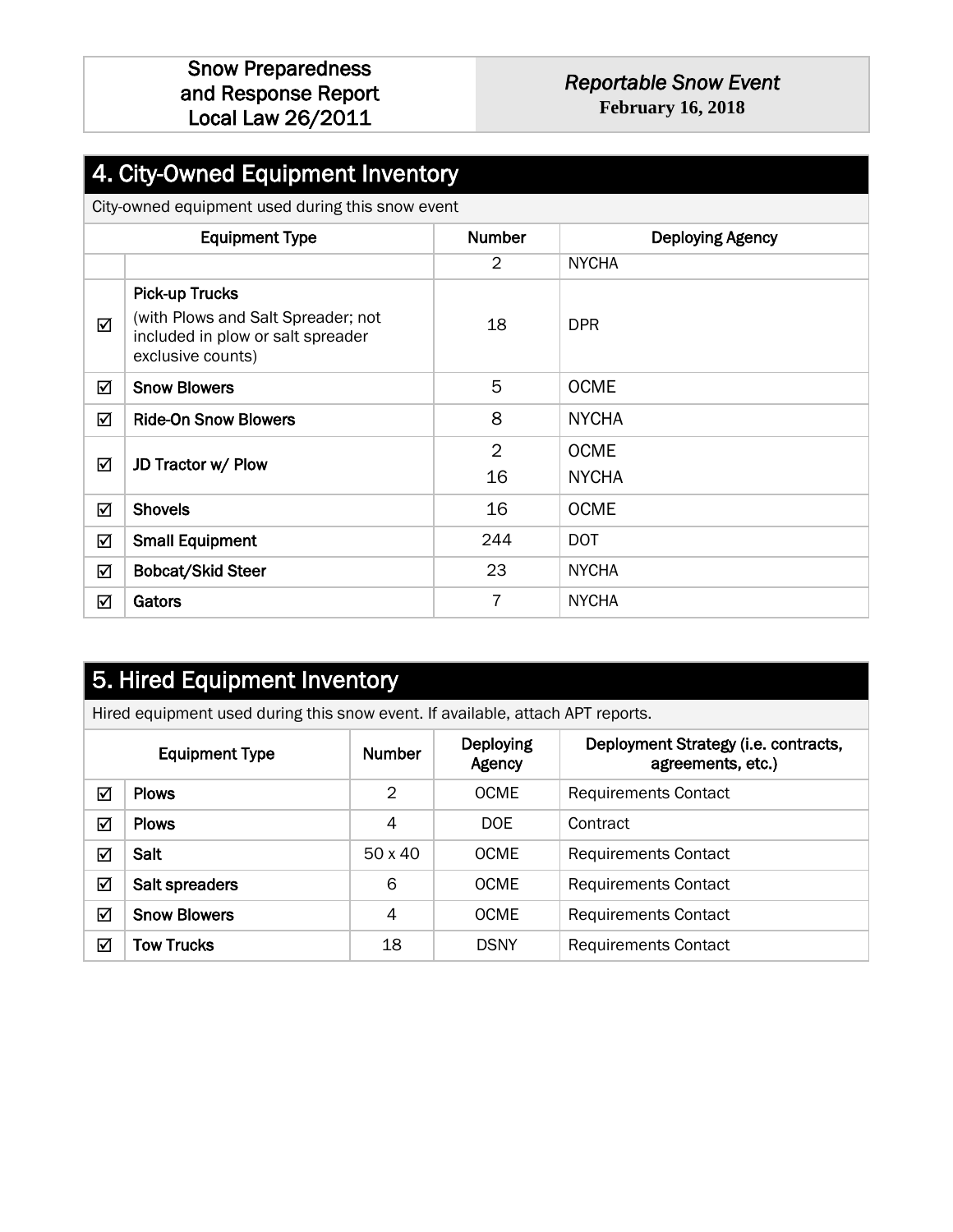#### *Reportable Snow Event*  **February 16, 2018**

### 4. City-Owned Equipment Inventory

City-owned equipment used during this snow event

|   | <b>Equipment Type</b>                                                                                                 | <b>Number</b>  | <b>Deploying Agency</b>     |  |  |  |
|---|-----------------------------------------------------------------------------------------------------------------------|----------------|-----------------------------|--|--|--|
|   |                                                                                                                       | $\overline{2}$ | <b>NYCHA</b>                |  |  |  |
| ☑ | <b>Pick-up Trucks</b><br>(with Plows and Salt Spreader; not<br>included in plow or salt spreader<br>exclusive counts) | 18             | <b>DPR</b>                  |  |  |  |
| ☑ | <b>Snow Blowers</b>                                                                                                   | 5              | <b>OCME</b>                 |  |  |  |
| ☑ | <b>Ride-On Snow Blowers</b>                                                                                           | 8              | <b>NYCHA</b>                |  |  |  |
| ☑ | JD Tractor w/ Plow                                                                                                    | 2<br>16        | <b>OCME</b><br><b>NYCHA</b> |  |  |  |
| ☑ | <b>Shovels</b>                                                                                                        | 16             | <b>OCME</b>                 |  |  |  |
| ☑ | <b>Small Equipment</b>                                                                                                | 244            | <b>DOT</b>                  |  |  |  |
| ☑ | <b>Bobcat/Skid Steer</b>                                                                                              | 23             | <b>NYCHA</b>                |  |  |  |
| ☑ | Gators                                                                                                                | 7              | <b>NYCHA</b>                |  |  |  |

### 5. Hired Equipment Inventory

Hired equipment used during this snow event. If available, attach APT reports.

| <b>Equipment Type</b> |                     | <b>Number</b> | Deploying<br>Agency | Deployment Strategy (i.e. contracts,<br>agreements, etc.) |
|-----------------------|---------------------|---------------|---------------------|-----------------------------------------------------------|
| ☑                     | <b>Plows</b>        | 2             | <b>OCME</b>         | <b>Requirements Contact</b>                               |
| ☑                     | <b>Plows</b>        | 4             | <b>DOE</b>          | Contract                                                  |
| $\blacktriangledown$  | Salt                | 50 x 40       | <b>OCME</b>         | <b>Requirements Contact</b>                               |
| ☑                     | Salt spreaders      | 6             | <b>OCME</b>         | <b>Requirements Contact</b>                               |
| ☑                     | <b>Snow Blowers</b> | 4             | <b>OCME</b>         | <b>Requirements Contact</b>                               |
| ☑                     | <b>Tow Trucks</b>   | 18            | <b>DSNY</b>         | <b>Requirements Contact</b>                               |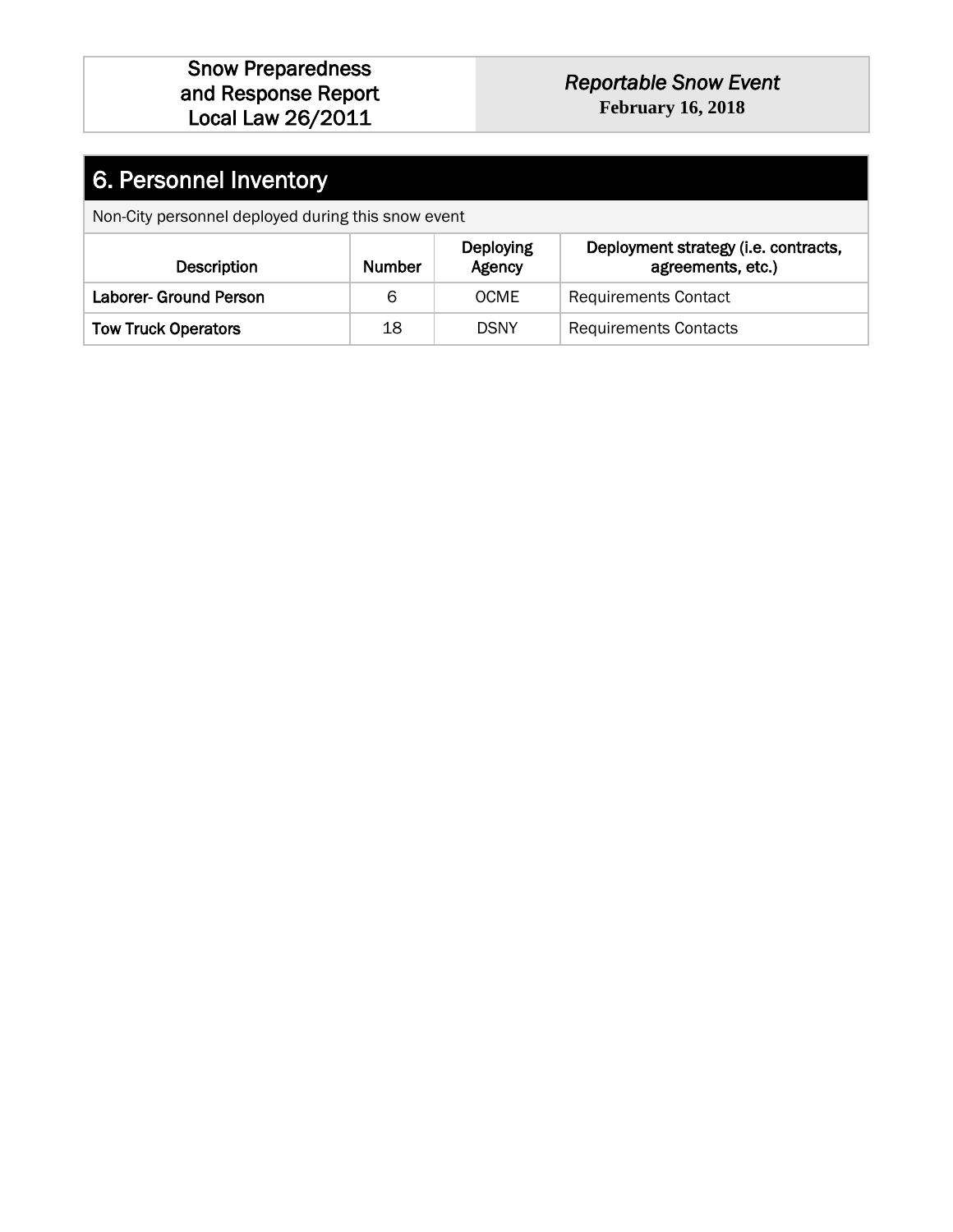#### *Reportable Snow Event*  **February 16, 2018**

# 6. Personnel Inventory

Non-City personnel deployed during this snow event

| <b>Description</b>         | Number | <b>Deploying</b><br>Agency | Deployment strategy (i.e. contracts,<br>agreements, etc.) |
|----------------------------|--------|----------------------------|-----------------------------------------------------------|
| Laborer- Ground Person     | 6      | <b>OCME</b>                | <b>Requirements Contact</b>                               |
| <b>Tow Truck Operators</b> | 18     | <b>DSNY</b>                | <b>Requirements Contacts</b>                              |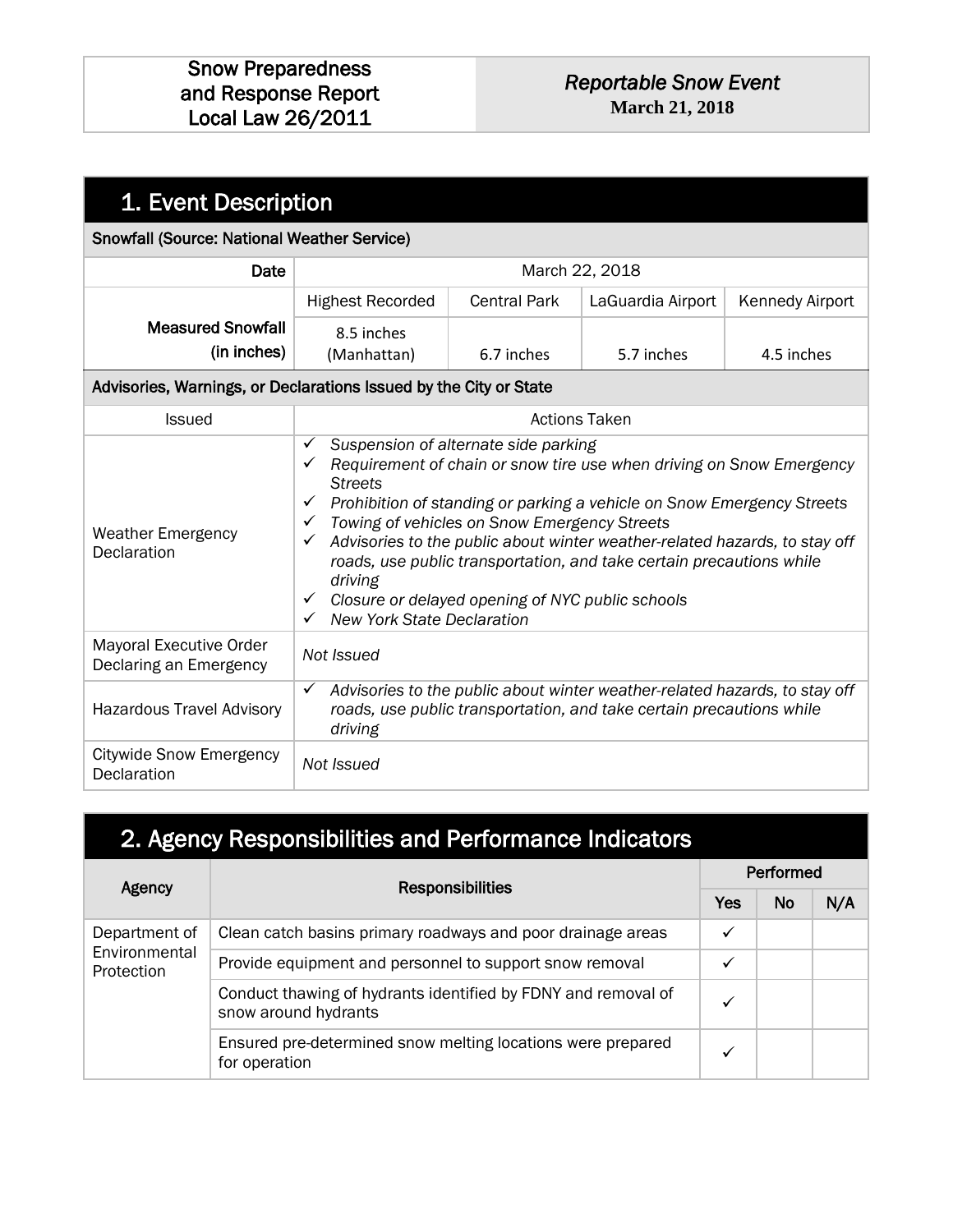#### *Reportable Snow Event*  **March 21, 2018**

| 1. Event Description                                              |                                                                                                                                                                                                                                                                                |                                                                                      |                                                                                                                                                                                                                              |                        |
|-------------------------------------------------------------------|--------------------------------------------------------------------------------------------------------------------------------------------------------------------------------------------------------------------------------------------------------------------------------|--------------------------------------------------------------------------------------|------------------------------------------------------------------------------------------------------------------------------------------------------------------------------------------------------------------------------|------------------------|
| <b>Snowfall (Source: National Weather Service)</b>                |                                                                                                                                                                                                                                                                                |                                                                                      |                                                                                                                                                                                                                              |                        |
| Date                                                              |                                                                                                                                                                                                                                                                                | March 22, 2018                                                                       |                                                                                                                                                                                                                              |                        |
|                                                                   | <b>Highest Recorded</b>                                                                                                                                                                                                                                                        | <b>Central Park</b>                                                                  | LaGuardia Airport                                                                                                                                                                                                            | <b>Kennedy Airport</b> |
| <b>Measured Snowfall</b><br>(in inches)                           | 8.5 inches<br>(Manhattan)                                                                                                                                                                                                                                                      | 6.7 inches                                                                           | 5.7 inches                                                                                                                                                                                                                   | 4.5 inches             |
| Advisories, Warnings, or Declarations Issued by the City or State |                                                                                                                                                                                                                                                                                |                                                                                      |                                                                                                                                                                                                                              |                        |
| <b>Issued</b>                                                     |                                                                                                                                                                                                                                                                                | <b>Actions Taken</b>                                                                 |                                                                                                                                                                                                                              |                        |
| <b>Weather Emergency</b><br>Declaration                           | ✓<br>$\checkmark$ Requirement of chain or snow tire use when driving on Snow Emergency<br><b>Streets</b><br>$\checkmark$<br>$\checkmark$<br>✓<br>driving<br>$\checkmark$ Closure or delayed opening of NYC public schools<br><b>New York State Declaration</b><br>$\checkmark$ | Suspension of alternate side parking<br>Towing of vehicles on Snow Emergency Streets | Prohibition of standing or parking a vehicle on Snow Emergency Streets<br>Advisories to the public about winter weather-related hazards, to stay off<br>roads, use public transportation, and take certain precautions while |                        |
| Mayoral Executive Order<br>Declaring an Emergency                 | Not Issued                                                                                                                                                                                                                                                                     |                                                                                      |                                                                                                                                                                                                                              |                        |
| <b>Hazardous Travel Advisory</b>                                  | $\checkmark$<br>driving                                                                                                                                                                                                                                                        |                                                                                      | Advisories to the public about winter weather-related hazards, to stay off<br>roads, use public transportation, and take certain precautions while                                                                           |                        |
| <b>Citywide Snow Emergency</b><br>Declaration                     | Not Issued                                                                                                                                                                                                                                                                     |                                                                                      |                                                                                                                                                                                                                              |                        |

# 2. Agency Responsibilities and Performance Indicators

| Agency                      | <b>Responsibilities</b>                                                               |              | Performed |     |  |  |
|-----------------------------|---------------------------------------------------------------------------------------|--------------|-----------|-----|--|--|
|                             |                                                                                       | Yes          | <b>No</b> | N/A |  |  |
| Department of               | Clean catch basins primary roadways and poor drainage areas                           | $\checkmark$ |           |     |  |  |
| Environmental<br>Protection | Provide equipment and personnel to support snow removal                               | $\checkmark$ |           |     |  |  |
|                             | Conduct thawing of hydrants identified by FDNY and removal of<br>snow around hydrants | √            |           |     |  |  |
|                             | Ensured pre-determined snow melting locations were prepared<br>for operation          | ✓            |           |     |  |  |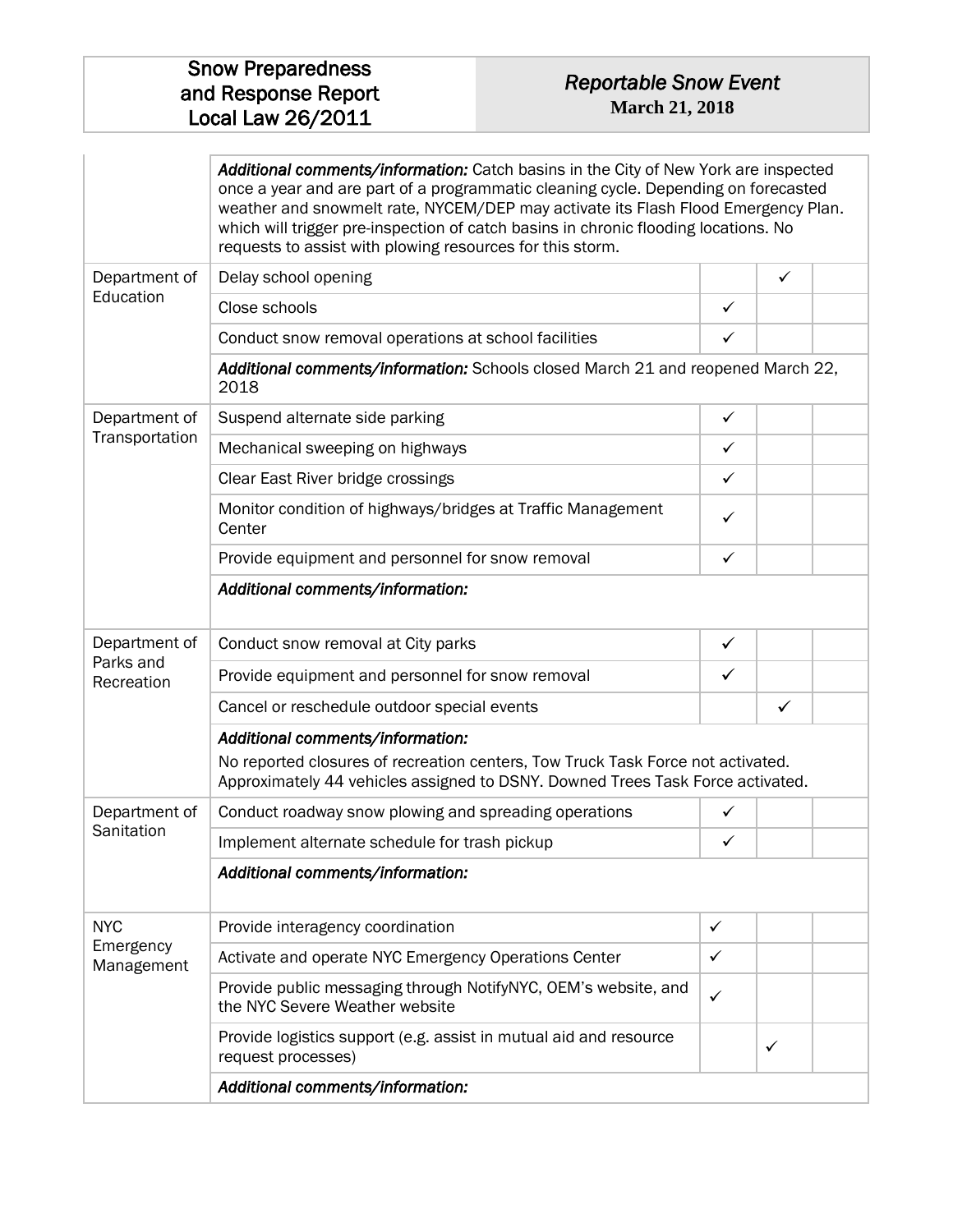#### *Reportable Snow Event*  **March 21, 2018**

|                         | Additional comments/information: Catch basins in the City of New York are inspected<br>once a year and are part of a programmatic cleaning cycle. Depending on forecasted<br>weather and snowmelt rate, NYCEM/DEP may activate its Flash Flood Emergency Plan.<br>which will trigger pre-inspection of catch basins in chronic flooding locations. No<br>requests to assist with plowing resources for this storm. |              |              |  |
|-------------------------|--------------------------------------------------------------------------------------------------------------------------------------------------------------------------------------------------------------------------------------------------------------------------------------------------------------------------------------------------------------------------------------------------------------------|--------------|--------------|--|
| Department of           | Delay school opening                                                                                                                                                                                                                                                                                                                                                                                               |              | $\checkmark$ |  |
| Education               | Close schools                                                                                                                                                                                                                                                                                                                                                                                                      | $\checkmark$ |              |  |
|                         | Conduct snow removal operations at school facilities                                                                                                                                                                                                                                                                                                                                                               | ✓            |              |  |
|                         | Additional comments/information: Schools closed March 21 and reopened March 22,<br>2018                                                                                                                                                                                                                                                                                                                            |              |              |  |
| Department of           | Suspend alternate side parking                                                                                                                                                                                                                                                                                                                                                                                     | $\checkmark$ |              |  |
| Transportation          | Mechanical sweeping on highways                                                                                                                                                                                                                                                                                                                                                                                    | ✓            |              |  |
|                         | Clear East River bridge crossings                                                                                                                                                                                                                                                                                                                                                                                  | ✓            |              |  |
|                         | Monitor condition of highways/bridges at Traffic Management<br>Center                                                                                                                                                                                                                                                                                                                                              | ✓            |              |  |
|                         | Provide equipment and personnel for snow removal                                                                                                                                                                                                                                                                                                                                                                   | $\checkmark$ |              |  |
|                         | Additional comments/information:                                                                                                                                                                                                                                                                                                                                                                                   |              |              |  |
| Department of           | Conduct snow removal at City parks                                                                                                                                                                                                                                                                                                                                                                                 | $\checkmark$ |              |  |
| Parks and<br>Recreation | Provide equipment and personnel for snow removal                                                                                                                                                                                                                                                                                                                                                                   | $\checkmark$ |              |  |
|                         | Cancel or reschedule outdoor special events                                                                                                                                                                                                                                                                                                                                                                        |              | $\checkmark$ |  |
|                         | Additional comments/information:<br>No reported closures of recreation centers, Tow Truck Task Force not activated.<br>Approximately 44 vehicles assigned to DSNY. Downed Trees Task Force activated.                                                                                                                                                                                                              |              |              |  |
| Department of           | Conduct roadway snow plowing and spreading operations                                                                                                                                                                                                                                                                                                                                                              | $\checkmark$ |              |  |
| Sanitation              | Implement alternate schedule for trash pickup                                                                                                                                                                                                                                                                                                                                                                      | $\checkmark$ |              |  |
|                         | Additional comments/information:                                                                                                                                                                                                                                                                                                                                                                                   |              |              |  |
| <b>NYC</b>              | Provide interagency coordination                                                                                                                                                                                                                                                                                                                                                                                   | ✓            |              |  |
| Emergency<br>Management | Activate and operate NYC Emergency Operations Center                                                                                                                                                                                                                                                                                                                                                               | $\checkmark$ |              |  |
|                         | Provide public messaging through NotifyNYC, OEM's website, and<br>the NYC Severe Weather website                                                                                                                                                                                                                                                                                                                   | $\checkmark$ |              |  |
|                         | Provide logistics support (e.g. assist in mutual aid and resource<br>request processes)                                                                                                                                                                                                                                                                                                                            |              | $\checkmark$ |  |
|                         | Additional comments/information:                                                                                                                                                                                                                                                                                                                                                                                   |              |              |  |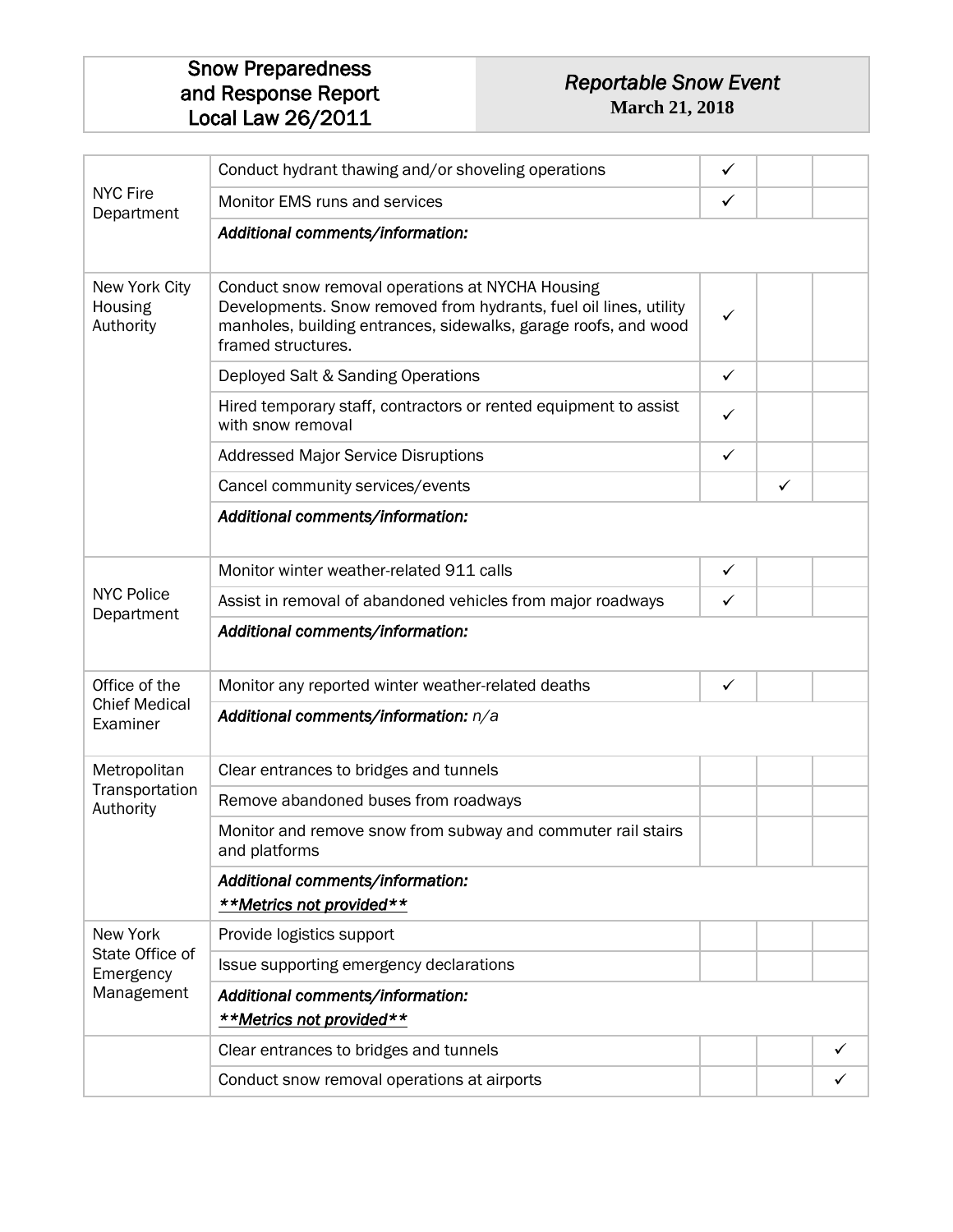#### *Reportable Snow Event*  **March 21, 2018**

|                                          | Conduct hydrant thawing and/or shoveling operations                                                                                                                                                            | $\checkmark$ |   |   |
|------------------------------------------|----------------------------------------------------------------------------------------------------------------------------------------------------------------------------------------------------------------|--------------|---|---|
| <b>NYC Fire</b><br>Department            | Monitor EMS runs and services                                                                                                                                                                                  | ✓            |   |   |
|                                          | Additional comments/information:                                                                                                                                                                               |              |   |   |
| New York City<br>Housing<br>Authority    | Conduct snow removal operations at NYCHA Housing<br>Developments. Snow removed from hydrants, fuel oil lines, utility<br>manholes, building entrances, sidewalks, garage roofs, and wood<br>framed structures. | ✓            |   |   |
|                                          | Deployed Salt & Sanding Operations                                                                                                                                                                             | $\checkmark$ |   |   |
|                                          | Hired temporary staff, contractors or rented equipment to assist<br>with snow removal                                                                                                                          | $\checkmark$ |   |   |
|                                          | <b>Addressed Major Service Disruptions</b>                                                                                                                                                                     | $\checkmark$ |   |   |
|                                          | Cancel community services/events                                                                                                                                                                               |              | ✓ |   |
|                                          | Additional comments/information:                                                                                                                                                                               |              |   |   |
|                                          | Monitor winter weather-related 911 calls                                                                                                                                                                       | $\checkmark$ |   |   |
| <b>NYC Police</b>                        | Assist in removal of abandoned vehicles from major roadways                                                                                                                                                    | $\checkmark$ |   |   |
| Department                               | Additional comments/information:                                                                                                                                                                               |              |   |   |
| Office of the                            | Monitor any reported winter weather-related deaths                                                                                                                                                             | ✓            |   |   |
| <b>Chief Medical</b><br>Examiner         | Additional comments/information: n/a                                                                                                                                                                           |              |   |   |
| Metropolitan                             | Clear entrances to bridges and tunnels                                                                                                                                                                         |              |   |   |
| Transportation<br>Authority              | Remove abandoned buses from roadways                                                                                                                                                                           |              |   |   |
|                                          | Monitor and remove snow from subway and commuter rail stairs<br>and platforms                                                                                                                                  |              |   |   |
|                                          | Additional comments/information:<br>**Metrics not provided**                                                                                                                                                   |              |   |   |
| New York<br>State Office of<br>Emergency | Provide logistics support                                                                                                                                                                                      |              |   |   |
|                                          | Issue supporting emergency declarations                                                                                                                                                                        |              |   |   |
| Management                               | Additional comments/information:<br>**Metrics not provided**                                                                                                                                                   |              |   |   |
|                                          | Clear entrances to bridges and tunnels                                                                                                                                                                         |              |   | ✓ |
|                                          | Conduct snow removal operations at airports                                                                                                                                                                    |              |   |   |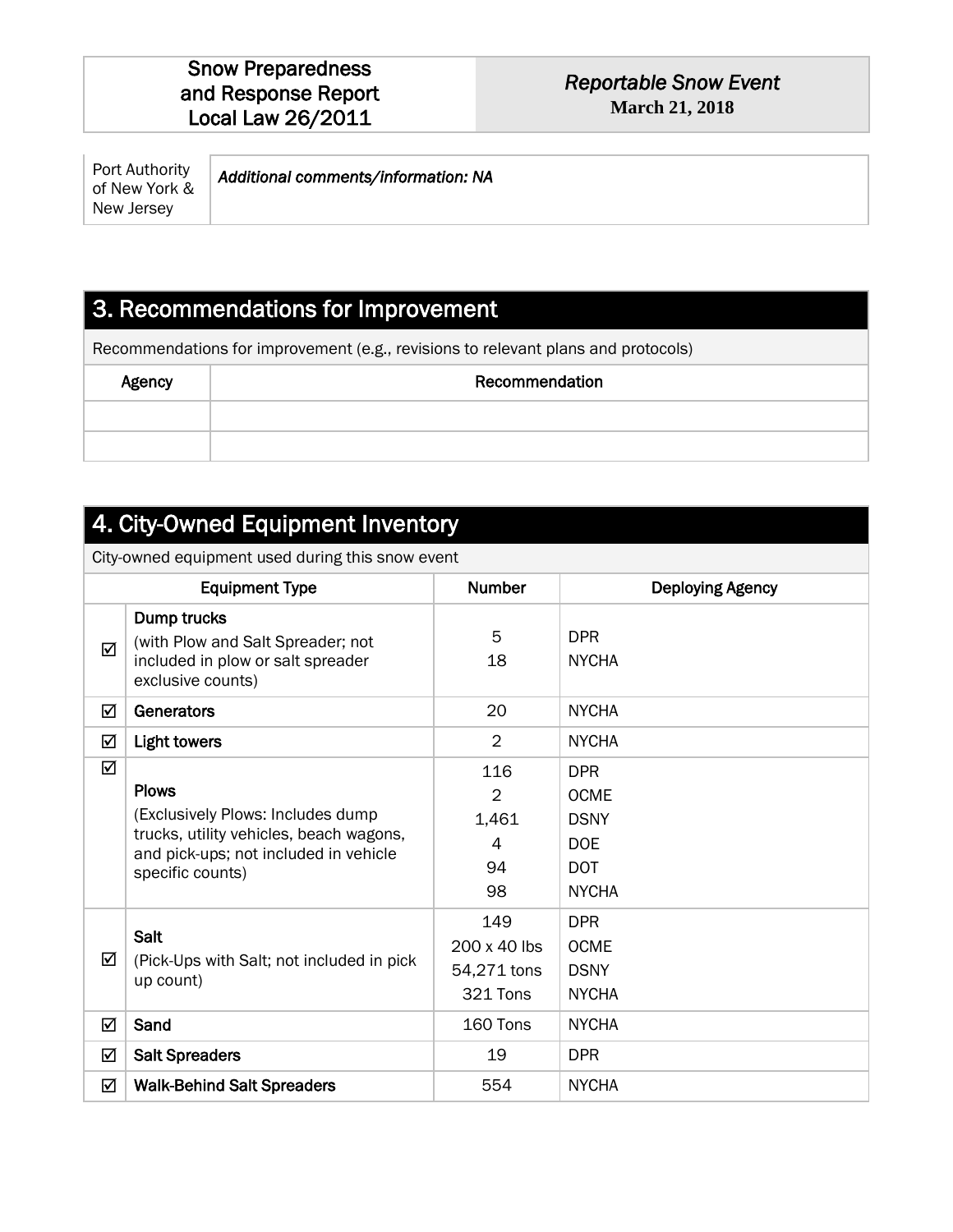#### *Reportable Snow Event*  **March 21, 2018**

| Port Authority<br>Additional comments/information: NA<br>of New York &<br>New Jersey |
|--------------------------------------------------------------------------------------|
|--------------------------------------------------------------------------------------|

### 3. Recommendations for Improvement

Recommendations for improvement (e.g., revisions to relevant plans and protocols)

| Agency | Recommendation |
|--------|----------------|
|        |                |
|        |                |

### 4. City-Owned Equipment Inventory

City-owned equipment used during this snow event

| <b>Equipment Type</b> |                                                                                                                                                            | <b>Number</b>                                   | <b>Deploying Agency</b>                                                              |
|-----------------------|------------------------------------------------------------------------------------------------------------------------------------------------------------|-------------------------------------------------|--------------------------------------------------------------------------------------|
| ☑                     | Dump trucks<br>(with Plow and Salt Spreader; not<br>included in plow or salt spreader<br>exclusive counts)                                                 | 5<br>18                                         | <b>DPR</b><br><b>NYCHA</b>                                                           |
| ☑                     | Generators                                                                                                                                                 | 20                                              | <b>NYCHA</b>                                                                         |
| ☑                     | <b>Light towers</b>                                                                                                                                        | $\overline{2}$                                  | <b>NYCHA</b>                                                                         |
| ☑                     | <b>Plows</b><br>(Exclusively Plows: Includes dump)<br>trucks, utility vehicles, beach wagons,<br>and pick-ups; not included in vehicle<br>specific counts) | 116<br>$\overline{2}$<br>1,461<br>4<br>94<br>98 | <b>DPR</b><br><b>OCME</b><br><b>DSNY</b><br><b>DOE</b><br><b>DOT</b><br><b>NYCHA</b> |
| ☑                     | <b>Salt</b><br>(Pick-Ups with Salt; not included in pick)<br>up count)                                                                                     | 149<br>200 x 40 lbs<br>54,271 tons<br>321 Tons  | <b>DPR</b><br><b>OCME</b><br><b>DSNY</b><br><b>NYCHA</b>                             |
| ☑                     | Sand                                                                                                                                                       | 160 Tons                                        | <b>NYCHA</b>                                                                         |
| ☑                     | <b>Salt Spreaders</b>                                                                                                                                      | 19                                              | <b>DPR</b>                                                                           |
| ☑                     | <b>Walk-Behind Salt Spreaders</b>                                                                                                                          | 554                                             | <b>NYCHA</b>                                                                         |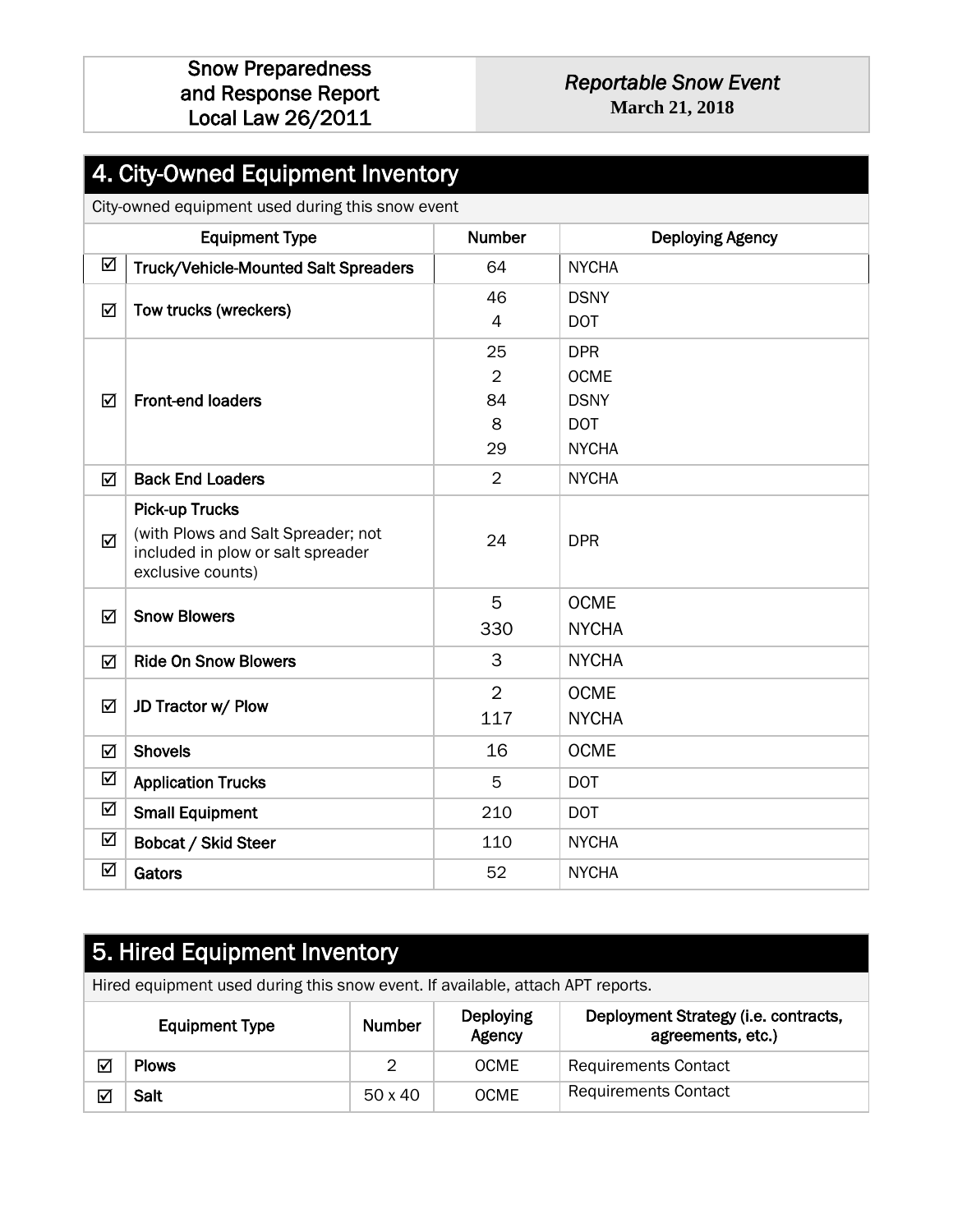#### *Reportable Snow Event*  **March 21, 2018**

### 4. City-Owned Equipment Inventory

City-owned equipment used during this snow event

|   | <b>Equipment Type</b>                                                                                                 | Number                                | <b>Deploying Agency</b>                                                |
|---|-----------------------------------------------------------------------------------------------------------------------|---------------------------------------|------------------------------------------------------------------------|
| ☑ | Truck/Vehicle-Mounted Salt Spreaders                                                                                  | 64                                    | <b>NYCHA</b>                                                           |
| ☑ | Tow trucks (wreckers)                                                                                                 | 46<br>$\overline{4}$                  | <b>DSNY</b><br><b>DOT</b>                                              |
| ☑ | <b>Front-end loaders</b>                                                                                              | 25<br>$\overline{2}$<br>84<br>8<br>29 | <b>DPR</b><br><b>OCME</b><br><b>DSNY</b><br><b>DOT</b><br><b>NYCHA</b> |
| ☑ | <b>Back End Loaders</b>                                                                                               | $\overline{2}$                        | <b>NYCHA</b>                                                           |
| ☑ | <b>Pick-up Trucks</b><br>(with Plows and Salt Spreader; not<br>included in plow or salt spreader<br>exclusive counts) | 24                                    | <b>DPR</b>                                                             |
| ☑ | <b>Snow Blowers</b>                                                                                                   | 5<br>330                              | <b>OCME</b><br><b>NYCHA</b>                                            |
| ☑ | <b>Ride On Snow Blowers</b>                                                                                           | 3                                     | <b>NYCHA</b>                                                           |
| ☑ | JD Tractor w/ Plow                                                                                                    | $\overline{2}$<br>117                 | <b>OCME</b><br><b>NYCHA</b>                                            |
| ☑ | <b>Shovels</b>                                                                                                        | 16                                    | <b>OCME</b>                                                            |
| ☑ | <b>Application Trucks</b>                                                                                             | 5                                     | <b>DOT</b>                                                             |
| ☑ | <b>Small Equipment</b>                                                                                                | 210                                   | <b>DOT</b>                                                             |
| ☑ | <b>Bobcat / Skid Steer</b>                                                                                            | 110                                   | <b>NYCHA</b>                                                           |
| ☑ | Gators                                                                                                                | 52                                    | <b>NYCHA</b>                                                           |

### 5. Hired Equipment Inventory

Hired equipment used during this snow event. If available, attach APT reports.

| <b>Equipment Type</b> |              | <b>Number</b> | Deploying<br>Agency | Deployment Strategy (i.e. contracts,<br>agreements, etc.) |
|-----------------------|--------------|---------------|---------------------|-----------------------------------------------------------|
| ⊽                     | <b>Plows</b> | ∼             | <b>OCME</b>         | <b>Requirements Contact</b>                               |
| ⊽                     | Salt         | 50 x 40       | <b>OCME</b>         | <b>Requirements Contact</b>                               |